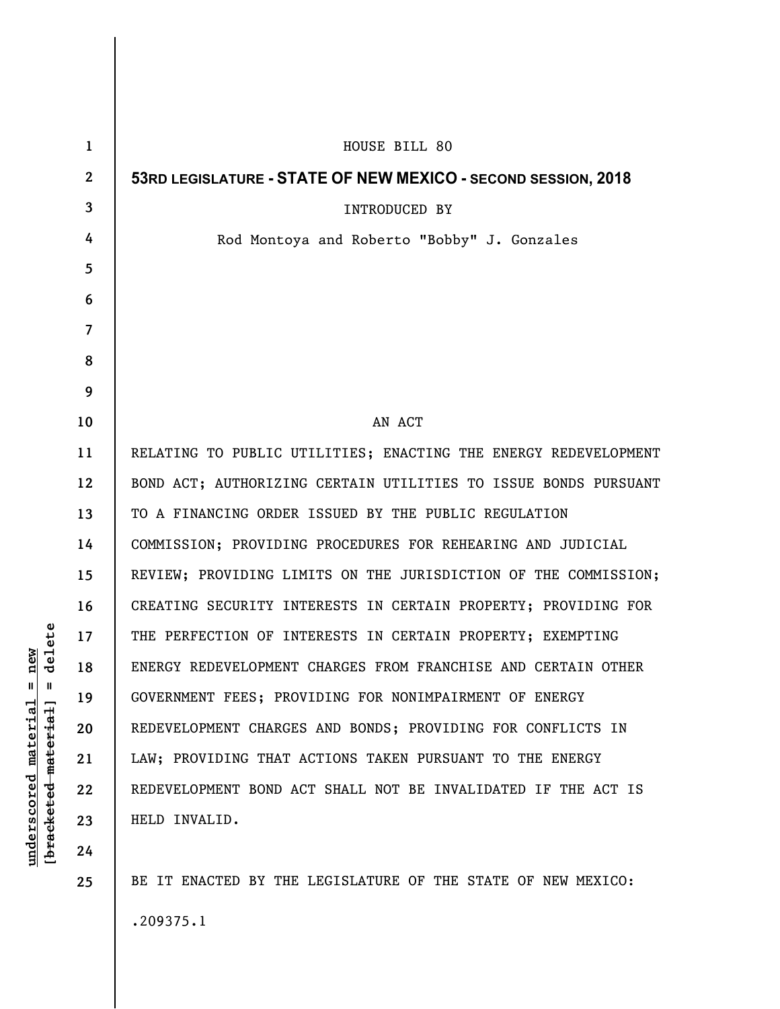| $\mathbf{1}$   | HOUSE BILL 80                                                   |
|----------------|-----------------------------------------------------------------|
| $\overline{2}$ | 53RD LEGISLATURE - STATE OF NEW MEXICO - SECOND SESSION, 2018   |
| 3              | <b>INTRODUCED BY</b>                                            |
| 4              | Rod Montoya and Roberto "Bobby" J. Gonzales                     |
| 5              |                                                                 |
| 6              |                                                                 |
| $\overline{7}$ |                                                                 |
| 8              |                                                                 |
| 9              |                                                                 |
| 10             | AN ACT                                                          |
| 11             | RELATING TO PUBLIC UTILITIES; ENACTING THE ENERGY REDEVELOPMENT |
| 12             | BOND ACT; AUTHORIZING CERTAIN UTILITIES TO ISSUE BONDS PURSUANT |
| 13             | TO A FINANCING ORDER ISSUED BY THE PUBLIC REGULATION            |
| 14             | COMMISSION; PROVIDING PROCEDURES FOR REHEARING AND JUDICIAL     |
| 15             | REVIEW; PROVIDING LIMITS ON THE JURISDICTION OF THE COMMISSION; |
| 16             | CREATING SECURITY INTERESTS IN CERTAIN PROPERTY; PROVIDING FOR  |
| 17             | THE PERFECTION OF INTERESTS IN CERTAIN PROPERTY; EXEMPTING      |
| 18             | ENERGY REDEVELOPMENT CHARGES FROM FRANCHISE AND CERTAIN OTHER   |
| 19             | GOVERNMENT FEES; PROVIDING FOR NONIMPAIRMENT OF ENERGY          |
| 20             | REDEVELOPMENT CHARGES AND BONDS; PROVIDING FOR CONFLICTS IN     |
| 21             | LAW; PROVIDING THAT ACTIONS TAKEN PURSUANT TO THE ENERGY        |
| 22             | REDEVELOPMENT BOND ACT SHALL NOT BE INVALIDATED IF THE ACT IS   |
| 23             | HELD INVALID.                                                   |
| 24             |                                                                 |
| 25             | BE IT ENACTED BY THE LEGISLATURE OF THE STATE OF NEW MEXICO:    |

 $[bracketeed-materiat] = delete$ **[bracketed material] = delete**  $underscored material = new$ **underscored material = new**

.209375.1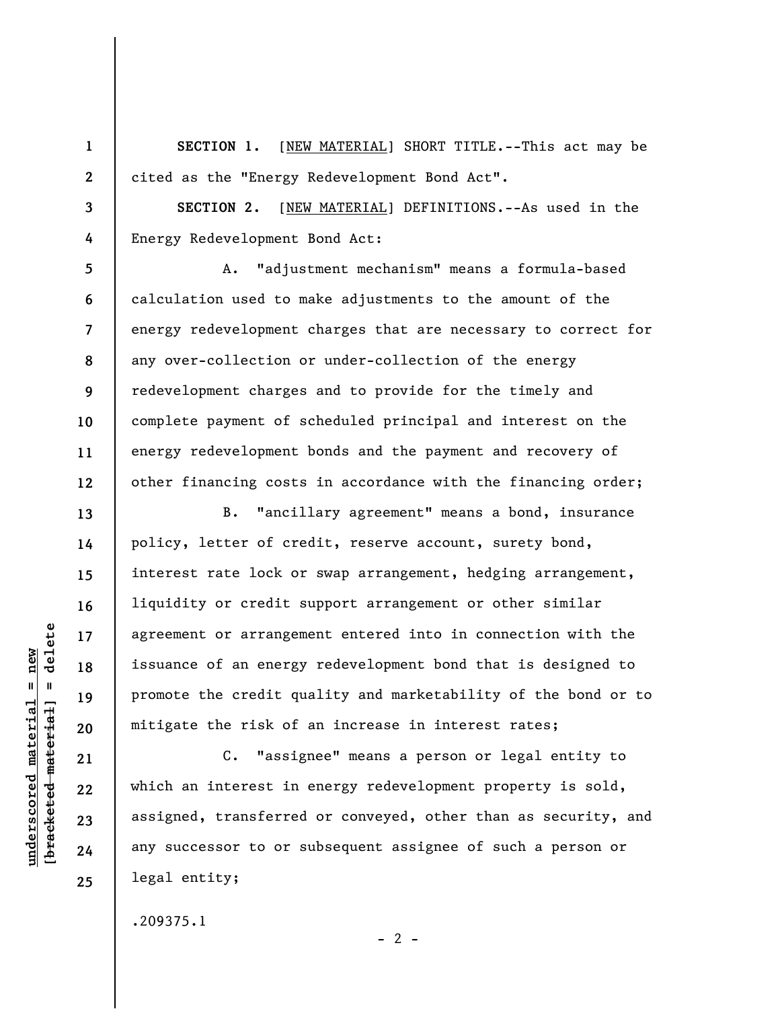**SECTION 1.** [NEW MATERIAL] SHORT TITLE.--This act may be cited as the "Energy Redevelopment Bond Act".

**SECTION 2.** [NEW MATERIAL] DEFINITIONS.--As used in the Energy Redevelopment Bond Act:

A. "adjustment mechanism" means a formula-based calculation used to make adjustments to the amount of the energy redevelopment charges that are necessary to correct for any over-collection or under-collection of the energy redevelopment charges and to provide for the timely and complete payment of scheduled principal and interest on the energy redevelopment bonds and the payment and recovery of other financing costs in accordance with the financing order;

B. "ancillary agreement" means a bond, insurance policy, letter of credit, reserve account, surety bond, interest rate lock or swap arrangement, hedging arrangement, liquidity or credit support arrangement or other similar agreement or arrangement entered into in connection with the issuance of an energy redevelopment bond that is designed to promote the credit quality and marketability of the bond or to mitigate the risk of an increase in interest rates;

C. "assignee" means a person or legal entity to which an interest in energy redevelopment property is sold, assigned, transferred or conveyed, other than as security, and any successor to or subsequent assignee of such a person or legal entity;

 $- 2 -$ 

.209375.1

 $\frac{1}{2}$  of  $\frac{1}{2}$  and  $\frac{1}{2}$  and  $\frac{1}{2}$  and  $\frac{1}{2}$  and  $\frac{1}{2}$  and  $\frac{1}{2}$  and  $\frac{1}{2}$  and  $\frac{1}{2}$  and  $\frac{1}{2}$  and  $\frac{1}{2}$  and  $\frac{1}{2}$  and  $\frac{1}{2}$  and  $\frac{1}{2}$  and  $\frac{1}{2}$  and  $\frac{1}{2}$  an **[bracketed material] = delete**  $underscored material = new$ **underscored material = new**

**1** 

**2** 

**3** 

**4** 

**5** 

**6** 

**7** 

**8** 

**9** 

**10** 

**11** 

**12** 

**13** 

**14** 

**15** 

**16** 

**17** 

**18** 

**19** 

**20** 

**21** 

**22** 

**23** 

**24**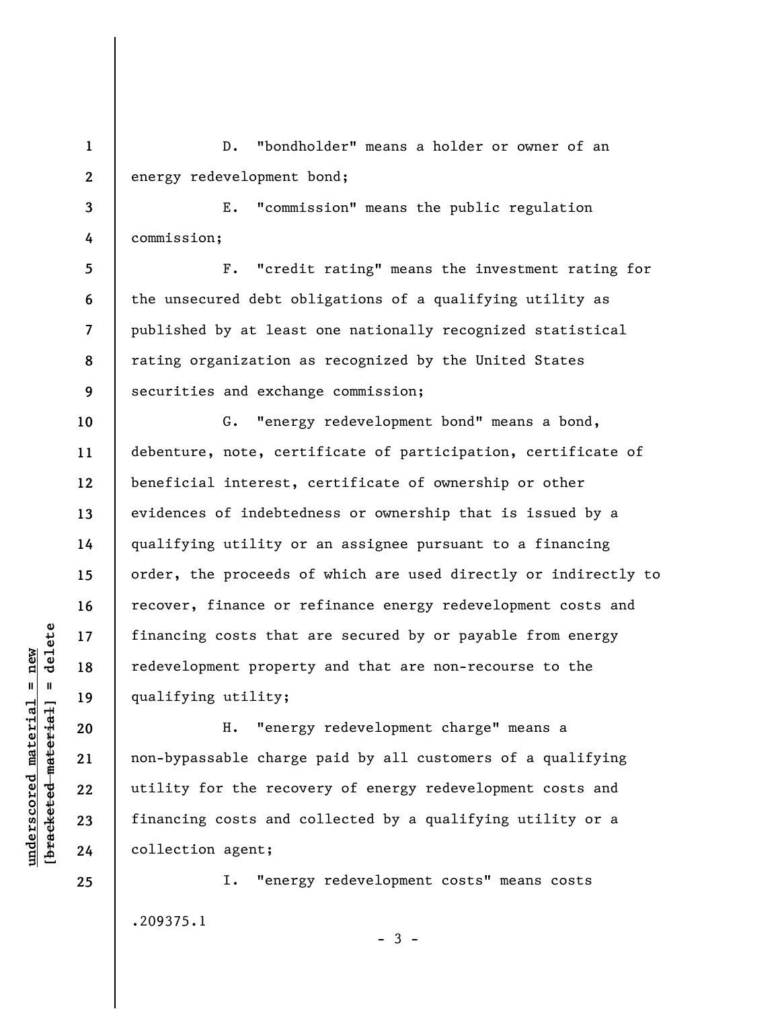**1 2**  D. "bondholder" means a holder or owner of an energy redevelopment bond;

**3 4**  E. "commission" means the public regulation commission;

**5 6 7 8 9**  F. "credit rating" means the investment rating for the unsecured debt obligations of a qualifying utility as published by at least one nationally recognized statistical rating organization as recognized by the United States securities and exchange commission;

**10 11 12 13 14 15 16 17 18 19**  G. "energy redevelopment bond" means a bond, debenture, note, certificate of participation, certificate of beneficial interest, certificate of ownership or other evidences of indebtedness or ownership that is issued by a qualifying utility or an assignee pursuant to a financing order, the proceeds of which are used directly or indirectly to recover, finance or refinance energy redevelopment costs and financing costs that are secured by or payable from energy redevelopment property and that are non-recourse to the qualifying utility;

H. "energy redevelopment charge" means a non-bypassable charge paid by all customers of a qualifying utility for the recovery of energy redevelopment costs and financing costs and collected by a qualifying utility or a collection agent;

I. "energy redevelopment costs" means costs .209375.1

 $-3 -$ 

**20** 

**21** 

**22** 

**23** 

**24**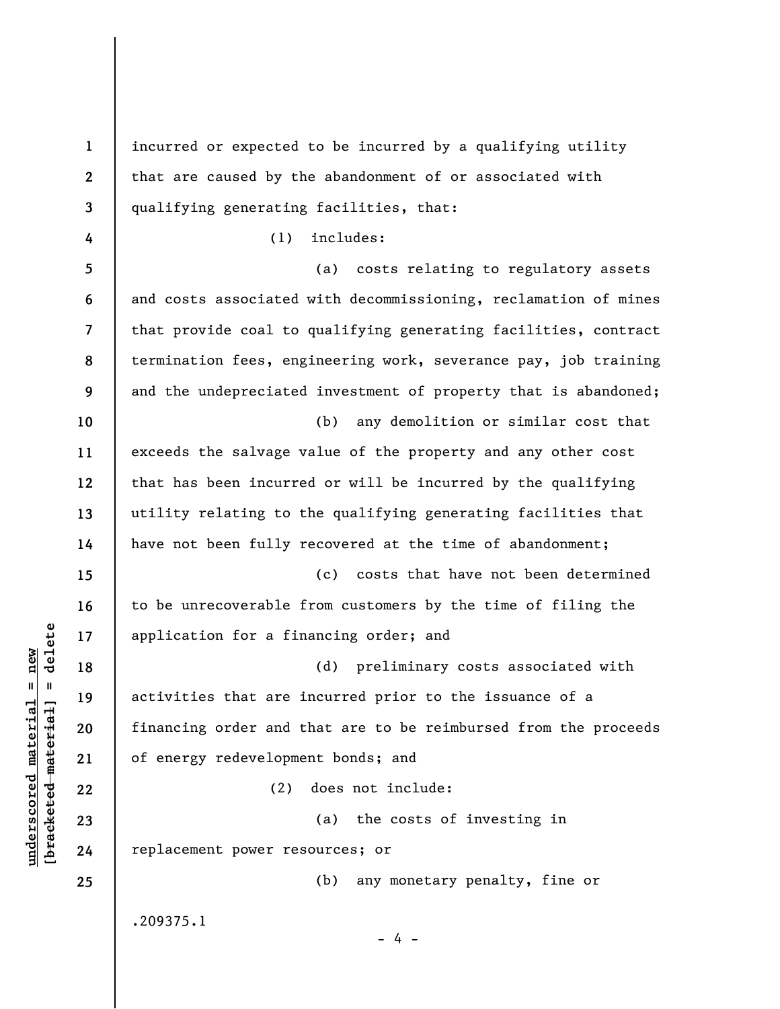**1 2 3 4 5 6 7 8 9 10 11 12 13 14 15 16 17 18 19 20 21 22 23 24 25**  incurred or expected to be incurred by a qualifying utility that are caused by the abandonment of or associated with qualifying generating facilities, that: (1) includes: (a) costs relating to regulatory assets and costs associated with decommissioning, reclamation of mines that provide coal to qualifying generating facilities, contract termination fees, engineering work, severance pay, job training and the undepreciated investment of property that is abandoned; (b) any demolition or similar cost that exceeds the salvage value of the property and any other cost that has been incurred or will be incurred by the qualifying utility relating to the qualifying generating facilities that have not been fully recovered at the time of abandonment; (c) costs that have not been determined to be unrecoverable from customers by the time of filing the application for a financing order; and (d) preliminary costs associated with activities that are incurred prior to the issuance of a financing order and that are to be reimbursed from the proceeds of energy redevelopment bonds; and (2) does not include: (a) the costs of investing in replacement power resources; or (b) any monetary penalty, fine or .209375.1 - 4 -

 $\frac{1}{2}$  intereted material = delete **[bracketed material] = delete**  $underscored material = new$ **underscored material = new**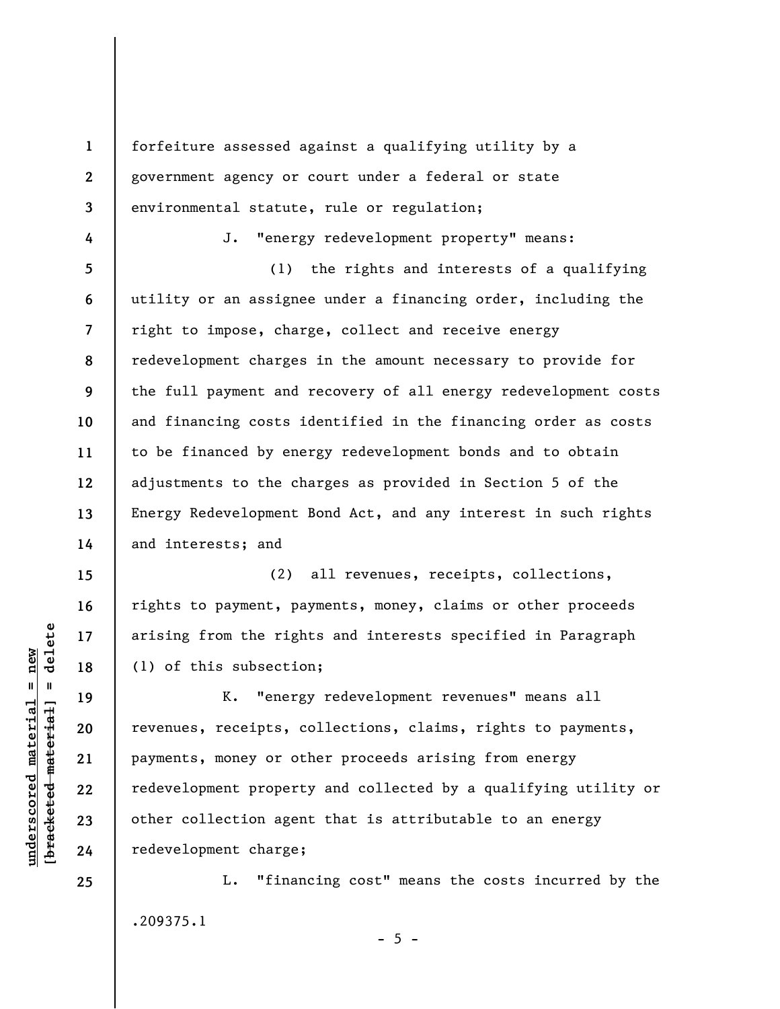**1 2 3 4**  forfeiture assessed against a qualifying utility by a government agency or court under a federal or state environmental statute, rule or regulation;

**5** 

**6** 

**7** 

**8** 

**9** 

**10** 

**11** 

**12** 

**13** 

**14** 

**15** 

**16** 

**17** 

**18** 

**19** 

**20** 

**21** 

**22** 

**23** 

**24** 

**25** 

J. "energy redevelopment property" means:

(1) the rights and interests of a qualifying utility or an assignee under a financing order, including the right to impose, charge, collect and receive energy redevelopment charges in the amount necessary to provide for the full payment and recovery of all energy redevelopment costs and financing costs identified in the financing order as costs to be financed by energy redevelopment bonds and to obtain adjustments to the charges as provided in Section 5 of the Energy Redevelopment Bond Act, and any interest in such rights and interests; and

(2) all revenues, receipts, collections, rights to payment, payments, money, claims or other proceeds arising from the rights and interests specified in Paragraph (1) of this subsection;

K. "energy redevelopment revenues" means all revenues, receipts, collections, claims, rights to payments, payments, money or other proceeds arising from energy redevelopment property and collected by a qualifying utility or other collection agent that is attributable to an energy redevelopment charge;

L. "financing cost" means the costs incurred by the .209375.1

 $- 5 -$ 

 $\frac{1}{2}$  intereted material = delete **[bracketed material] = delete**  $underscored material = new$ **underscored material = new**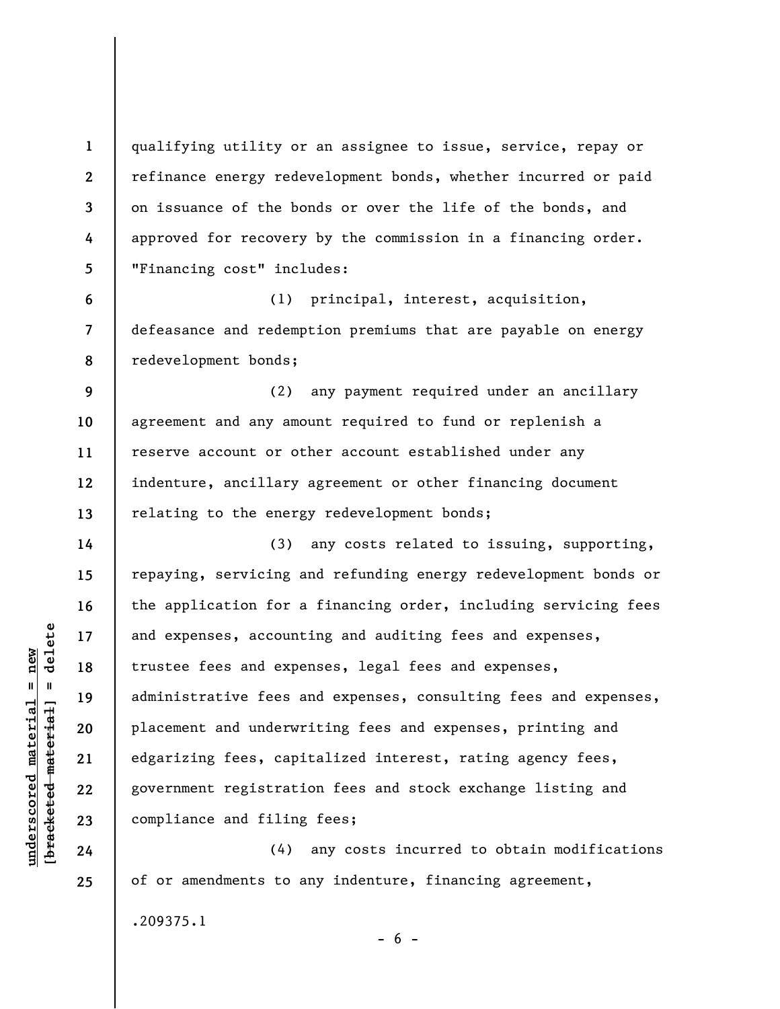qualifying utility or an assignee to issue, service, repay or refinance energy redevelopment bonds, whether incurred or paid on issuance of the bonds or over the life of the bonds, and approved for recovery by the commission in a financing order. "Financing cost" includes:

**6 7 8**  (1) principal, interest, acquisition, defeasance and redemption premiums that are payable on energy redevelopment bonds;

**9 10 11 12 13**  (2) any payment required under an ancillary agreement and any amount required to fund or replenish a reserve account or other account established under any indenture, ancillary agreement or other financing document relating to the energy redevelopment bonds;

(3) any costs related to issuing, supporting, repaying, servicing and refunding energy redevelopment bonds or the application for a financing order, including servicing fees and expenses, accounting and auditing fees and expenses, trustee fees and expenses, legal fees and expenses, administrative fees and expenses, consulting fees and expenses, placement and underwriting fees and expenses, printing and edgarizing fees, capitalized interest, rating agency fees, government registration fees and stock exchange listing and compliance and filing fees;

(4) any costs incurred to obtain modifications of or amendments to any indenture, financing agreement, .209375.1

 $\frac{1}{2}$  intereted material = delete **[bracketed material] = delete**  $underscored material = new$ **underscored material = new**

**1** 

**2** 

**3** 

**4** 

**5** 

**14** 

**15** 

**16** 

**17** 

**18** 

**19** 

**20** 

**21** 

**22** 

**23** 

**24** 

**25** 

 $- 6 -$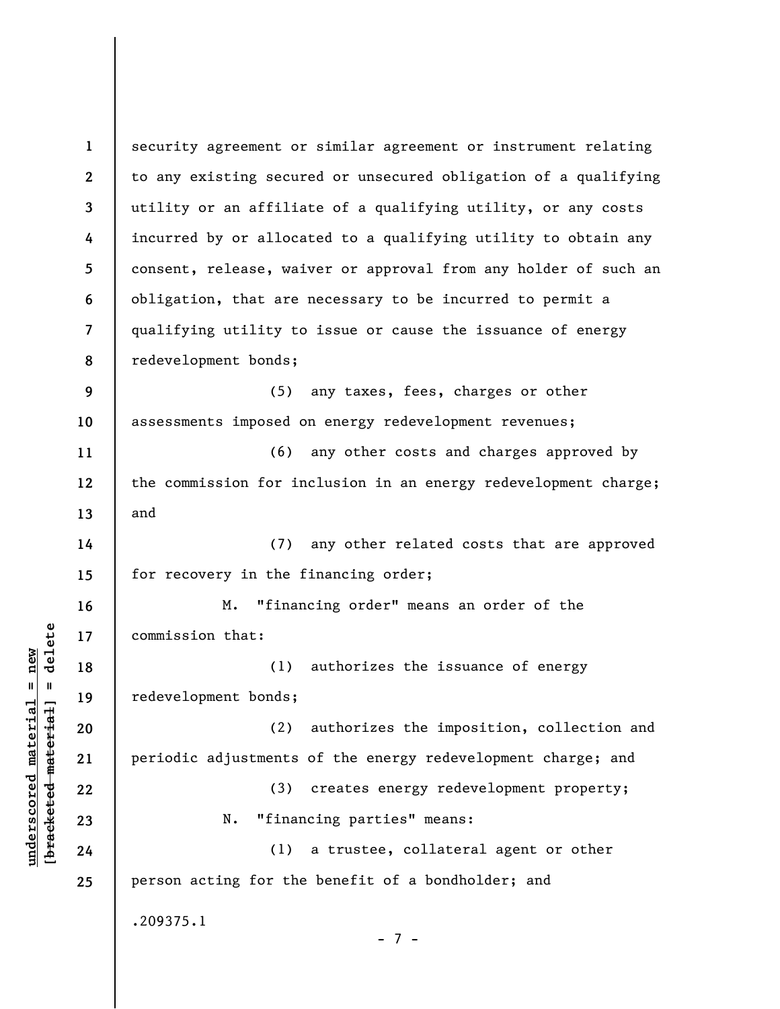**1 2 3 4 5 6 7 8 9 10 11 12 13 14 15 16 17 18 19 20 21 22 23 24 25**  security agreement or similar agreement or instrument relating to any existing secured or unsecured obligation of a qualifying utility or an affiliate of a qualifying utility, or any costs incurred by or allocated to a qualifying utility to obtain any consent, release, waiver or approval from any holder of such an obligation, that are necessary to be incurred to permit a qualifying utility to issue or cause the issuance of energy redevelopment bonds; (5) any taxes, fees, charges or other assessments imposed on energy redevelopment revenues; (6) any other costs and charges approved by the commission for inclusion in an energy redevelopment charge; and (7) any other related costs that are approved for recovery in the financing order; M. "financing order" means an order of the commission that: (1) authorizes the issuance of energy redevelopment bonds; (2) authorizes the imposition, collection and periodic adjustments of the energy redevelopment charge; and (3) creates energy redevelopment property; N. "financing parties" means: (1) a trustee, collateral agent or other person acting for the benefit of a bondholder; and .209375.1 - 7 -

**underscored material = new [bracketed material] = delete**

 $\frac{1}{2}$  intereted material = delete  $underscored material = new$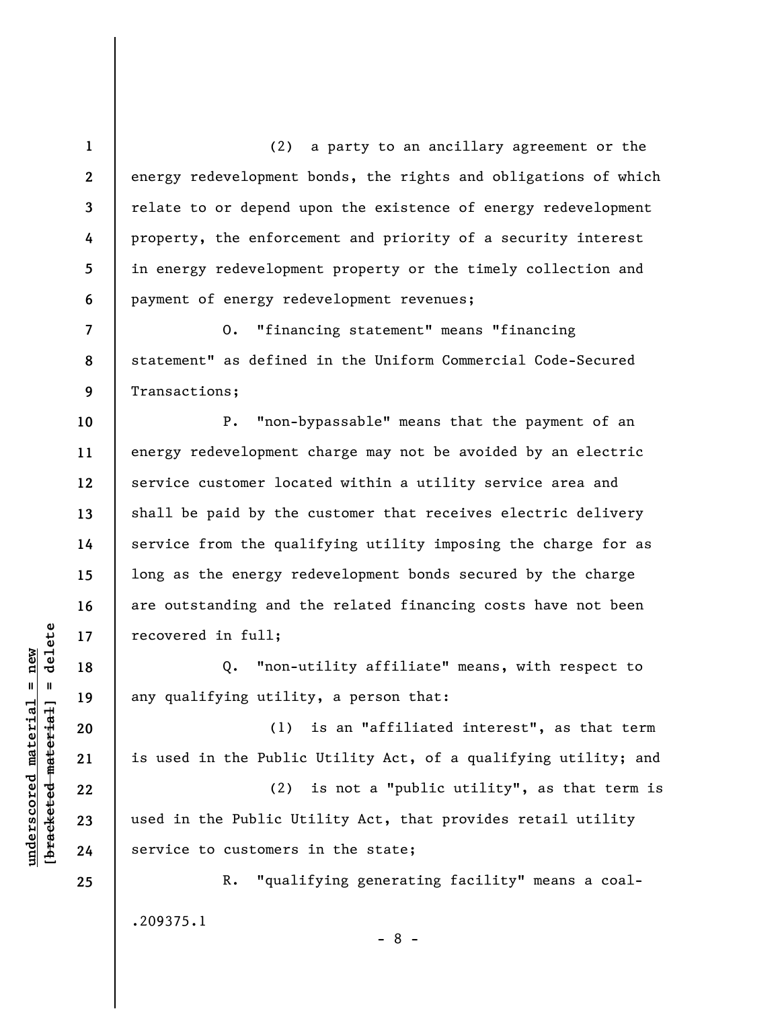**1 2 3 4 5 6**  (2) a party to an ancillary agreement or the energy redevelopment bonds, the rights and obligations of which relate to or depend upon the existence of energy redevelopment property, the enforcement and priority of a security interest in energy redevelopment property or the timely collection and payment of energy redevelopment revenues;

**7 8 9**  O. "financing statement" means "financing statement" as defined in the Uniform Commercial Code-Secured Transactions;

**10 11 12 13 14 15 16 17**  P. "non-bypassable" means that the payment of an energy redevelopment charge may not be avoided by an electric service customer located within a utility service area and shall be paid by the customer that receives electric delivery service from the qualifying utility imposing the charge for as long as the energy redevelopment bonds secured by the charge are outstanding and the related financing costs have not been recovered in full;

Q. "non-utility affiliate" means, with respect to any qualifying utility, a person that:

(1) is an "affiliated interest", as that term is used in the Public Utility Act, of a qualifying utility; and

(2) is not a "public utility", as that term is used in the Public Utility Act, that provides retail utility service to customers in the state;

R. "qualifying generating facility" means a coal- .209375.1 - 8 -

 $\frac{1}{2}$  intereted material = delete **[bracketed material] = delete**  $underscored material = new$ **underscored material = new**

**24 25** 

**18** 

**19** 

**20** 

**21** 

**22**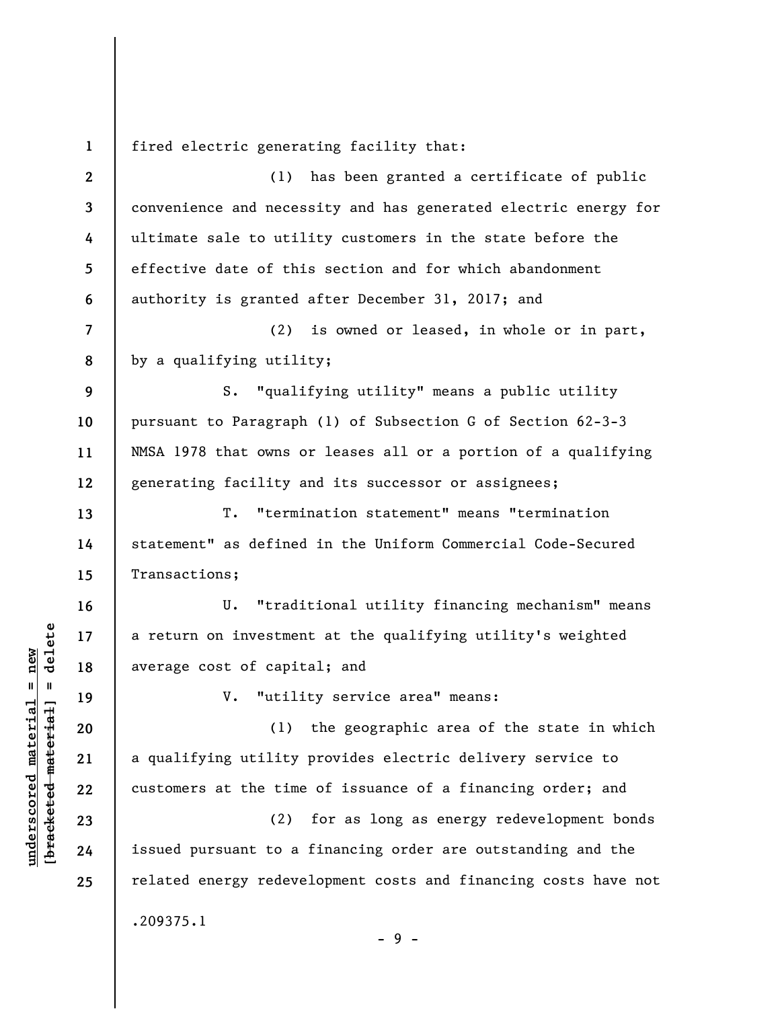**1**  fired electric generating facility that:

**2 3 4 5 6**  (1) has been granted a certificate of public convenience and necessity and has generated electric energy for ultimate sale to utility customers in the state before the effective date of this section and for which abandonment authority is granted after December 31, 2017; and

(2) is owned or leased, in whole or in part, by a qualifying utility;

**9 10 11 12**  S. "qualifying utility" means a public utility pursuant to Paragraph (1) of Subsection G of Section 62-3-3 NMSA 1978 that owns or leases all or a portion of a qualifying generating facility and its successor or assignees;

T. "termination statement" means "termination statement" as defined in the Uniform Commercial Code-Secured Transactions;

U. "traditional utility financing mechanism" means a return on investment at the qualifying utility's weighted average cost of capital; and

V. "utility service area" means:

(1) the geographic area of the state in which a qualifying utility provides electric delivery service to customers at the time of issuance of a financing order; and

(2) for as long as energy redevelopment bonds issued pursuant to a financing order are outstanding and the related energy redevelopment costs and financing costs have not .209375.1

- 9 -

 $\frac{1}{2}$  intereted material = delete **[bracketed material] = delete**  $underscored material = new$ **underscored material = new**

**7** 

**8** 

**13** 

**14** 

**15** 

**16** 

**17** 

**18** 

**19** 

**20** 

**21** 

**22** 

**23** 

**24**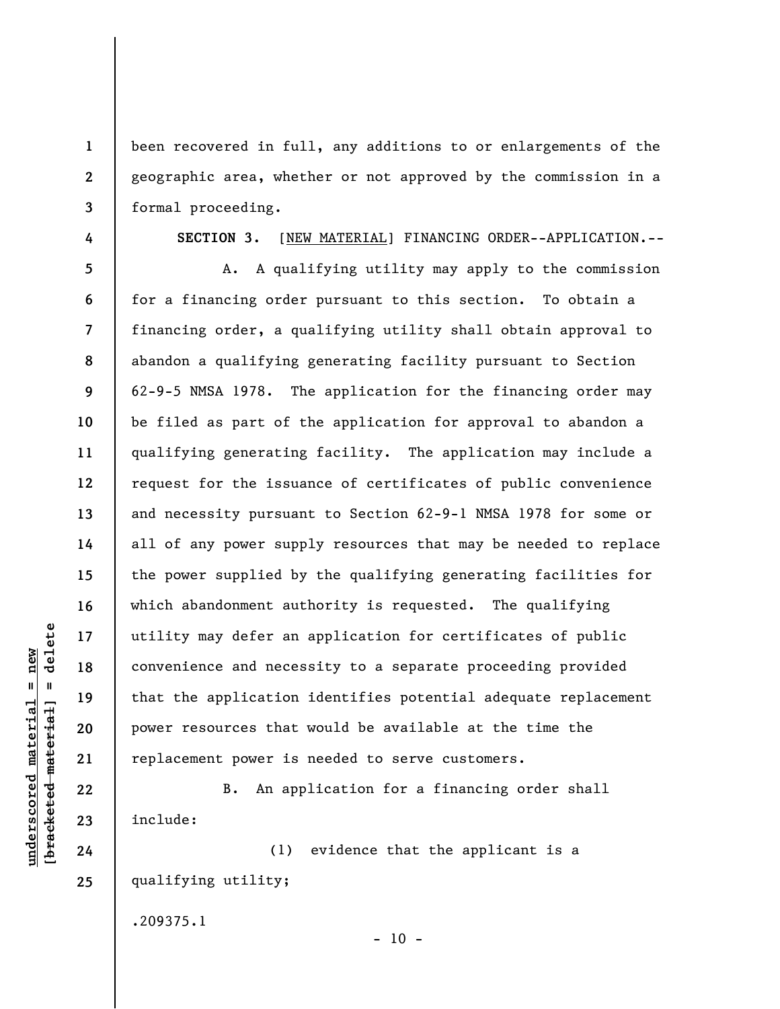been recovered in full, any additions to or enlargements of the geographic area, whether or not approved by the commission in a formal proceeding.

**4** 

**1** 

**2** 

**3** 

## **SECTION 3.** [NEW MATERIAL] FINANCING ORDER--APPLICATION.--

**5 6 7 8 9 10 11 12 13 14 15 16 17 18 19 20**  A. A qualifying utility may apply to the commission for a financing order pursuant to this section. To obtain a financing order, a qualifying utility shall obtain approval to abandon a qualifying generating facility pursuant to Section 62-9-5 NMSA 1978. The application for the financing order may be filed as part of the application for approval to abandon a qualifying generating facility. The application may include a request for the issuance of certificates of public convenience and necessity pursuant to Section 62-9-1 NMSA 1978 for some or all of any power supply resources that may be needed to replace the power supplied by the qualifying generating facilities for which abandonment authority is requested. The qualifying utility may defer an application for certificates of public convenience and necessity to a separate proceeding provided that the application identifies potential adequate replacement power resources that would be available at the time the replacement power is needed to serve customers.

B. An application for a financing order shall include:

(1) evidence that the applicant is a qualifying utility;

.209375.1

 $- 10 -$ 

**21** 

**22** 

**23** 

**24**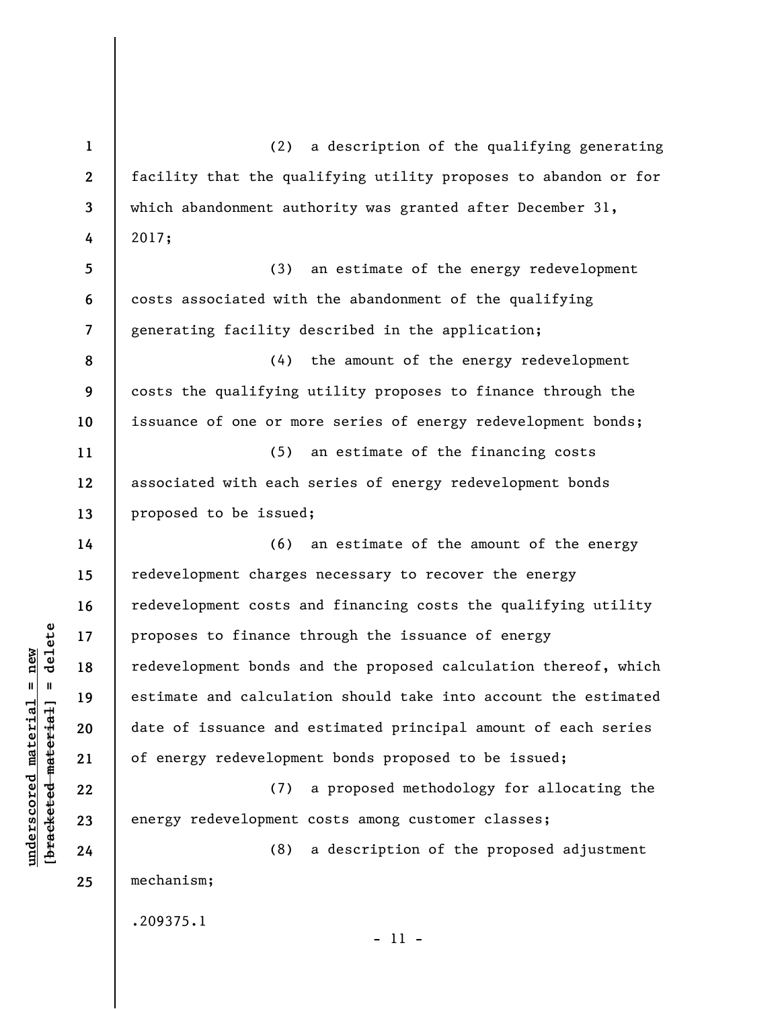**1 2 3 4 5 6 7 8 9 10 11 12 13 14 15 16 17 18 19 20 21 22 23 24 25**  (2) a description of the qualifying generating facility that the qualifying utility proposes to abandon or for which abandonment authority was granted after December 31, 2017; (3) an estimate of the energy redevelopment costs associated with the abandonment of the qualifying generating facility described in the application; (4) the amount of the energy redevelopment costs the qualifying utility proposes to finance through the issuance of one or more series of energy redevelopment bonds; (5) an estimate of the financing costs associated with each series of energy redevelopment bonds proposed to be issued; (6) an estimate of the amount of the energy redevelopment charges necessary to recover the energy redevelopment costs and financing costs the qualifying utility proposes to finance through the issuance of energy redevelopment bonds and the proposed calculation thereof, which estimate and calculation should take into account the estimated date of issuance and estimated principal amount of each series of energy redevelopment bonds proposed to be issued; (7) a proposed methodology for allocating the energy redevelopment costs among customer classes; (8) a description of the proposed adjustment mechanism; .209375.1

- 11 -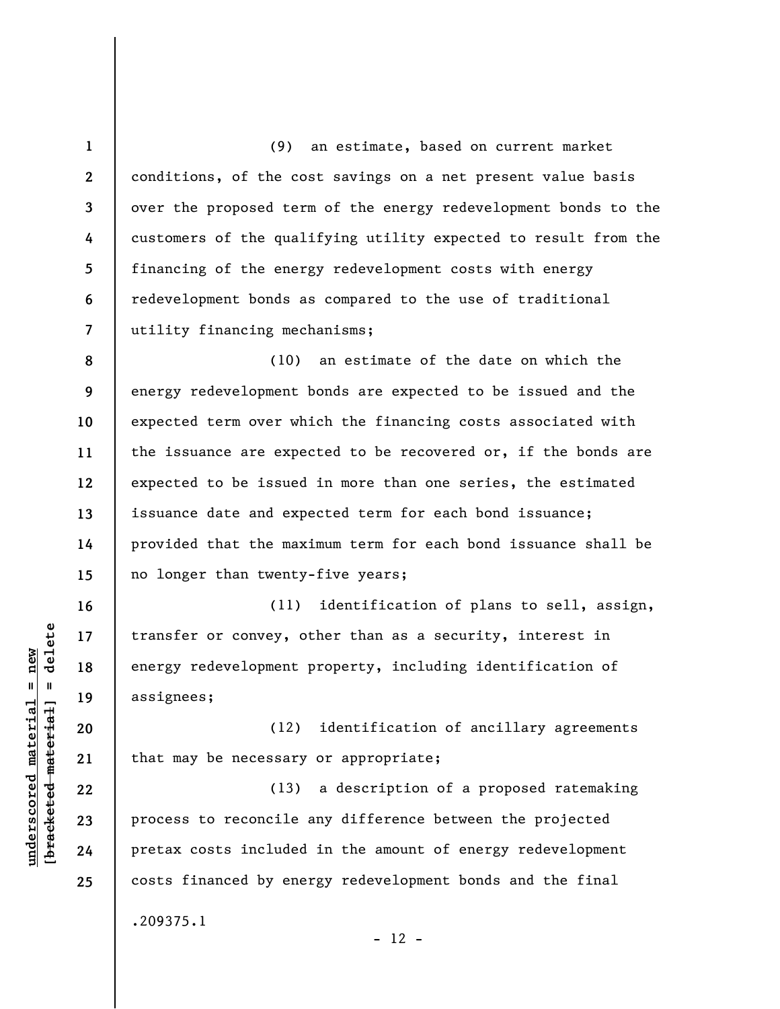**1 2 3 4 5 6 7**  (9) an estimate, based on current market conditions, of the cost savings on a net present value basis over the proposed term of the energy redevelopment bonds to the customers of the qualifying utility expected to result from the financing of the energy redevelopment costs with energy redevelopment bonds as compared to the use of traditional utility financing mechanisms;

**8 9 10 11 12 13 14 15**  (10) an estimate of the date on which the energy redevelopment bonds are expected to be issued and the expected term over which the financing costs associated with the issuance are expected to be recovered or, if the bonds are expected to be issued in more than one series, the estimated issuance date and expected term for each bond issuance; provided that the maximum term for each bond issuance shall be no longer than twenty-five years;

(11) identification of plans to sell, assign, transfer or convey, other than as a security, interest in energy redevelopment property, including identification of assignees;

(12) identification of ancillary agreements that may be necessary or appropriate;

(13) a description of a proposed ratemaking process to reconcile any difference between the projected pretax costs included in the amount of energy redevelopment costs financed by energy redevelopment bonds and the final .209375.1

 $- 12 -$ 

**16** 

**17** 

**18** 

**19** 

**20** 

**21** 

**22** 

**23** 

**24**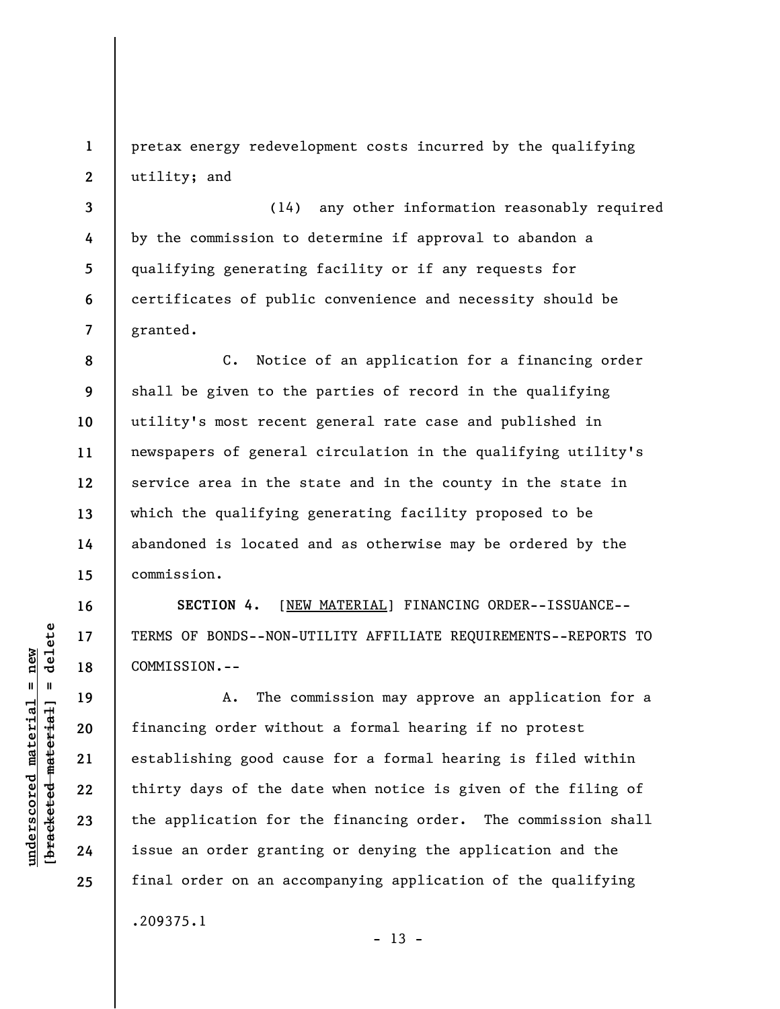**1 2**  pretax energy redevelopment costs incurred by the qualifying utility; and

(14) any other information reasonably required by the commission to determine if approval to abandon a qualifying generating facility or if any requests for certificates of public convenience and necessity should be granted.

**8 9 10 11 12 13 14 15**  C. Notice of an application for a financing order shall be given to the parties of record in the qualifying utility's most recent general rate case and published in newspapers of general circulation in the qualifying utility's service area in the state and in the county in the state in which the qualifying generating facility proposed to be abandoned is located and as otherwise may be ordered by the commission.

**SECTION 4.** [NEW MATERIAL] FINANCING ORDER--ISSUANCE-- TERMS OF BONDS--NON-UTILITY AFFILIATE REQUIREMENTS--REPORTS TO COMMISSION.--

A. The commission may approve an application for a financing order without a formal hearing if no protest establishing good cause for a formal hearing is filed within thirty days of the date when notice is given of the filing of the application for the financing order. The commission shall issue an order granting or denying the application and the final order on an accompanying application of the qualifying .209375.1

 $- 13 -$ 

 $\frac{1}{2}$  intereted material = delete **[bracketed material] = delete**  $underscored material = new$ **underscored material = new**

**3** 

**4** 

**5** 

**6** 

**7** 

**16** 

**17** 

**18** 

**19** 

**20** 

**21** 

**22** 

**23** 

**24**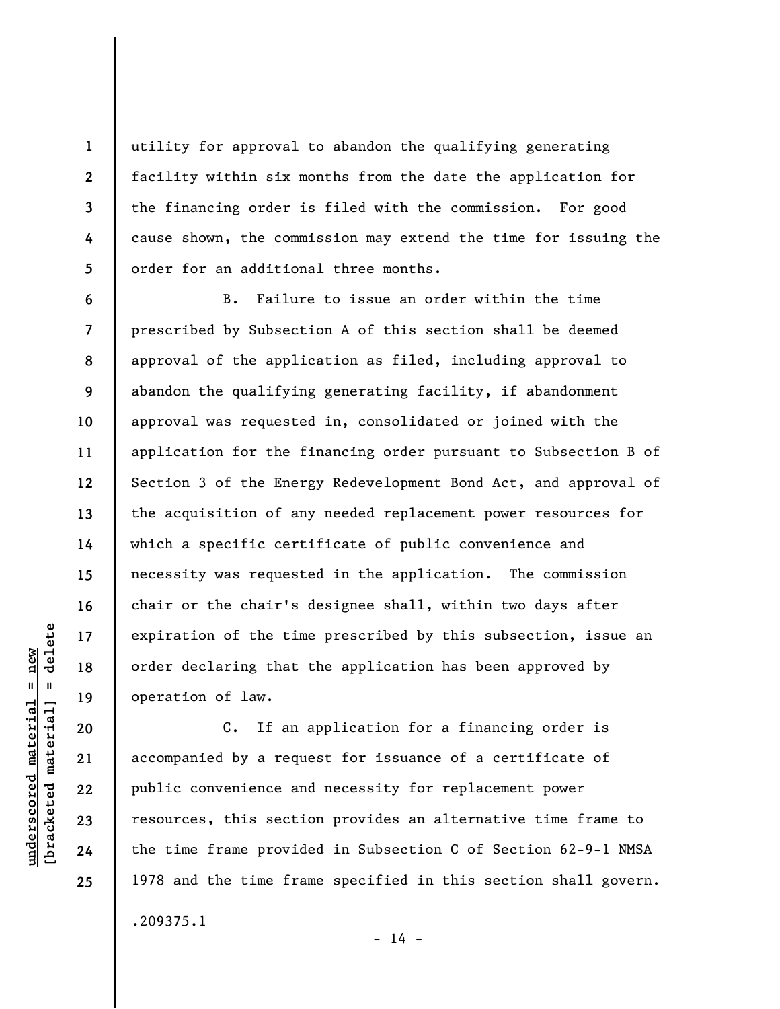utility for approval to abandon the qualifying generating facility within six months from the date the application for the financing order is filed with the commission. For good cause shown, the commission may extend the time for issuing the order for an additional three months.

**6 7 8 9 10 11 12 13 14 15 16 17 18 19**  B. Failure to issue an order within the time prescribed by Subsection A of this section shall be deemed approval of the application as filed, including approval to abandon the qualifying generating facility, if abandonment approval was requested in, consolidated or joined with the application for the financing order pursuant to Subsection B of Section 3 of the Energy Redevelopment Bond Act, and approval of the acquisition of any needed replacement power resources for which a specific certificate of public convenience and necessity was requested in the application. The commission chair or the chair's designee shall, within two days after expiration of the time prescribed by this subsection, issue an order declaring that the application has been approved by operation of law.

C. If an application for a financing order is accompanied by a request for issuance of a certificate of public convenience and necessity for replacement power resources, this section provides an alternative time frame to the time frame provided in Subsection C of Section 62-9-1 NMSA 1978 and the time frame specified in this section shall govern. .209375.1

 $\frac{1}{2}$  bracketed material = delete **[bracketed material] = delete**  $anderscored material = new$ **underscored material = new**

**20** 

**21** 

**22** 

**23** 

**24** 

**25** 

**1** 

**2** 

**3** 

**4** 

**5** 

 $- 14 -$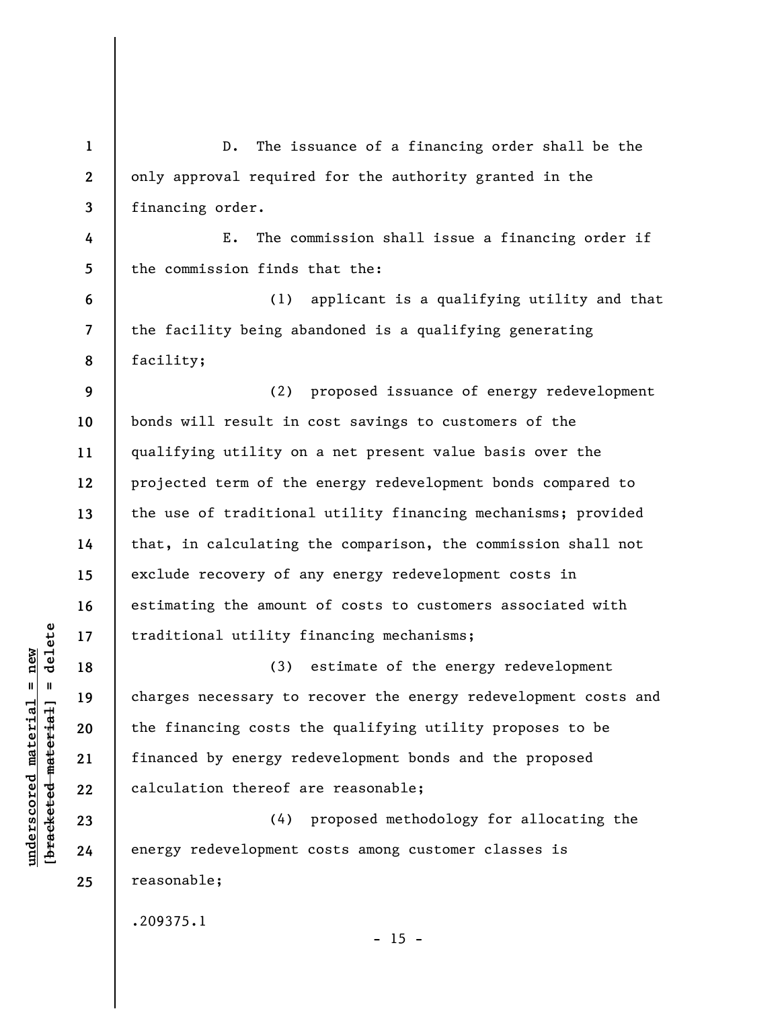**1 2 3 4 5 6 7 8 9 10 11 12 13 14 15 16 17 18 19 20 21 22 23 24 25**  D. The issuance of a financing order shall be the only approval required for the authority granted in the financing order. E. The commission shall issue a financing order if the commission finds that the: (1) applicant is a qualifying utility and that the facility being abandoned is a qualifying generating facility; (2) proposed issuance of energy redevelopment bonds will result in cost savings to customers of the qualifying utility on a net present value basis over the projected term of the energy redevelopment bonds compared to the use of traditional utility financing mechanisms; provided that, in calculating the comparison, the commission shall not exclude recovery of any energy redevelopment costs in estimating the amount of costs to customers associated with traditional utility financing mechanisms; (3) estimate of the energy redevelopment charges necessary to recover the energy redevelopment costs and the financing costs the qualifying utility proposes to be financed by energy redevelopment bonds and the proposed calculation thereof are reasonable; (4) proposed methodology for allocating the energy redevelopment costs among customer classes is reasonable; .209375.1

**underscored material = new [bracketed material] = delete**

 $\frac{1}{2}$  intereted material = delete  $underscored material = new$ 

 $- 15 -$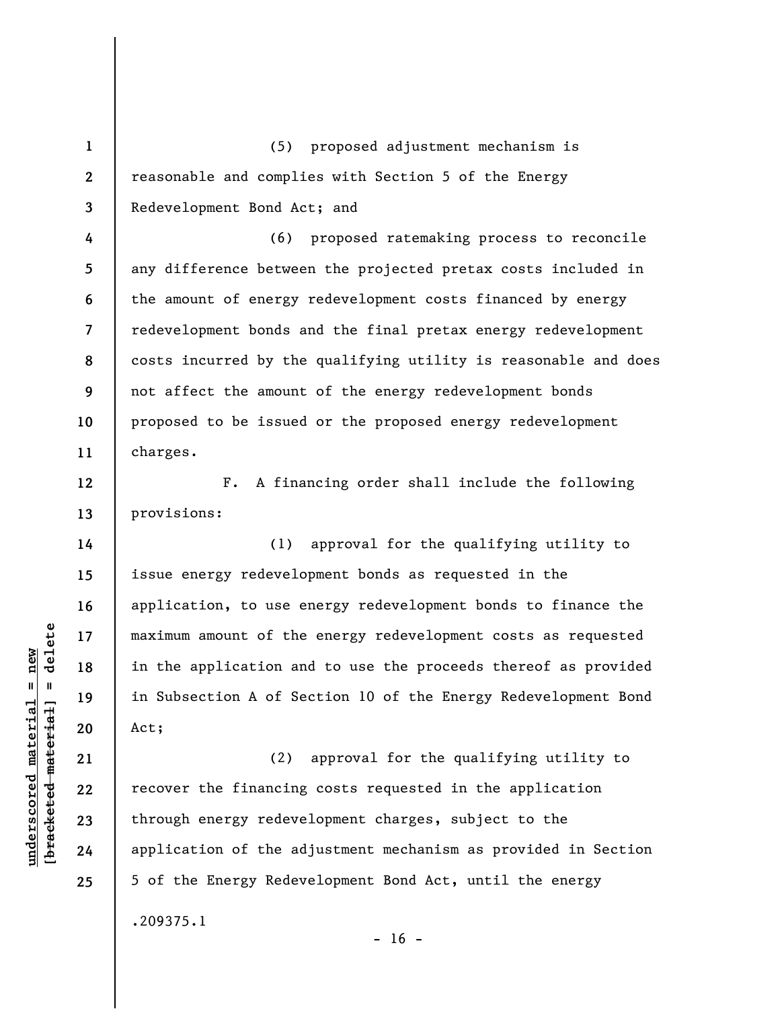**1 2 3**  (5) proposed adjustment mechanism is reasonable and complies with Section 5 of the Energy Redevelopment Bond Act; and

**4 5 6 7 8 9 10 11**  (6) proposed ratemaking process to reconcile any difference between the projected pretax costs included in the amount of energy redevelopment costs financed by energy redevelopment bonds and the final pretax energy redevelopment costs incurred by the qualifying utility is reasonable and does not affect the amount of the energy redevelopment bonds proposed to be issued or the proposed energy redevelopment charges.

F. A financing order shall include the following provisions:

(1) approval for the qualifying utility to issue energy redevelopment bonds as requested in the application, to use energy redevelopment bonds to finance the maximum amount of the energy redevelopment costs as requested in the application and to use the proceeds thereof as provided in Subsection A of Section 10 of the Energy Redevelopment Bond Act;

(2) approval for the qualifying utility to recover the financing costs requested in the application through energy redevelopment charges, subject to the application of the adjustment mechanism as provided in Section 5 of the Energy Redevelopment Bond Act, until the energy .209375.1

 $- 16 -$ 

**12** 

**13** 

**14** 

**15** 

**16** 

**17** 

**18** 

**19** 

**20** 

**21** 

**22** 

**23** 

**24**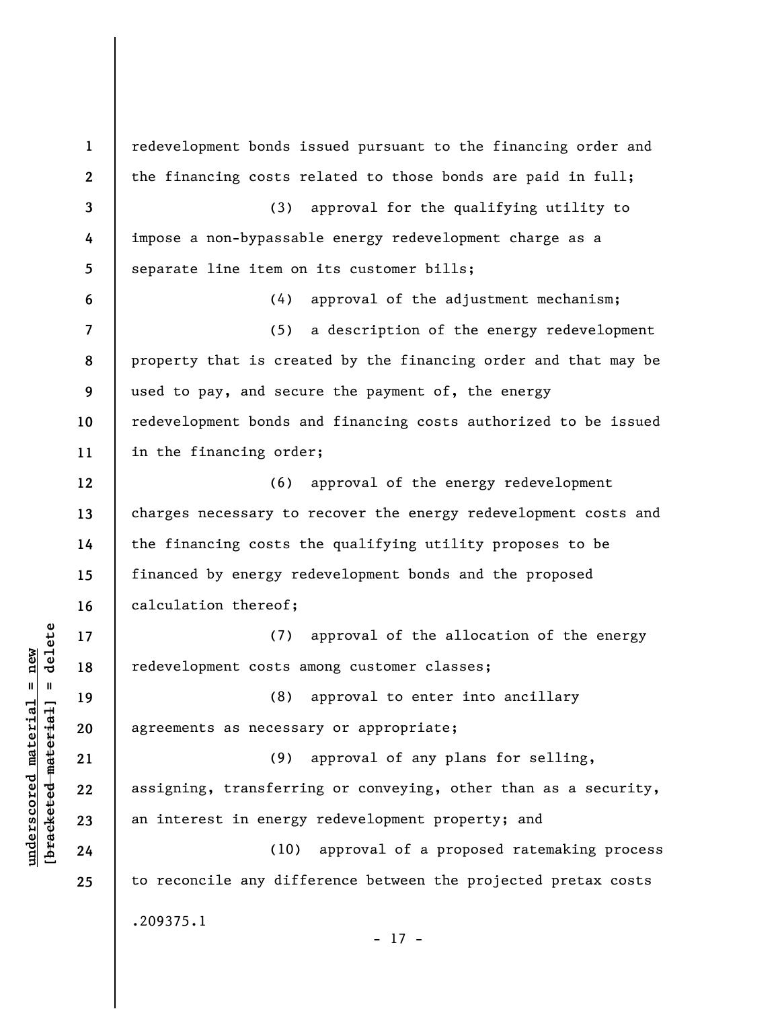**1 2 3 4 5 6 7 8 9 10 11 12 13 14 15 16 17 18 19 20 21 22 23 24 25**  redevelopment bonds issued pursuant to the financing order and the financing costs related to those bonds are paid in full; (3) approval for the qualifying utility to impose a non-bypassable energy redevelopment charge as a separate line item on its customer bills; (4) approval of the adjustment mechanism; (5) a description of the energy redevelopment property that is created by the financing order and that may be used to pay, and secure the payment of, the energy redevelopment bonds and financing costs authorized to be issued in the financing order; (6) approval of the energy redevelopment charges necessary to recover the energy redevelopment costs and the financing costs the qualifying utility proposes to be financed by energy redevelopment bonds and the proposed calculation thereof; (7) approval of the allocation of the energy redevelopment costs among customer classes; (8) approval to enter into ancillary agreements as necessary or appropriate; (9) approval of any plans for selling, assigning, transferring or conveying, other than as a security, an interest in energy redevelopment property; and (10) approval of a proposed ratemaking process to reconcile any difference between the projected pretax costs .209375.1 - 17 -

**underscored material = new [bracketed material] = delete**

 $\frac{1}{2}$  intereted material = delete  $anderscored material = new$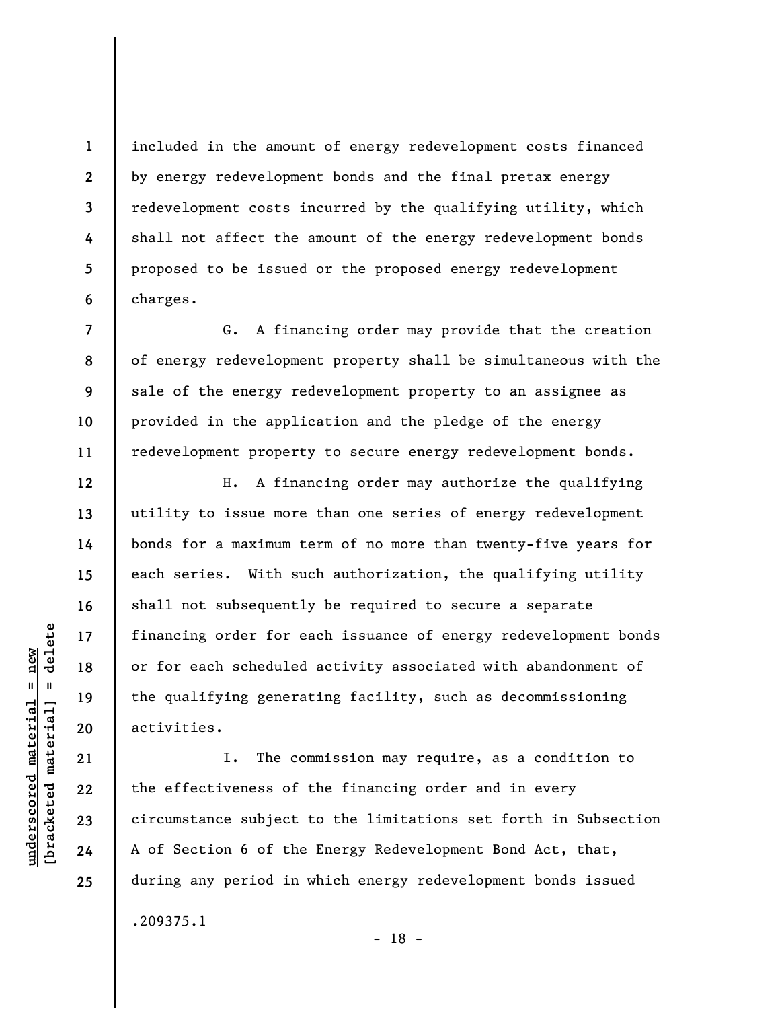included in the amount of energy redevelopment costs financed by energy redevelopment bonds and the final pretax energy redevelopment costs incurred by the qualifying utility, which shall not affect the amount of the energy redevelopment bonds proposed to be issued or the proposed energy redevelopment charges.

G. A financing order may provide that the creation of energy redevelopment property shall be simultaneous with the sale of the energy redevelopment property to an assignee as provided in the application and the pledge of the energy redevelopment property to secure energy redevelopment bonds.

H. A financing order may authorize the qualifying utility to issue more than one series of energy redevelopment bonds for a maximum term of no more than twenty-five years for each series. With such authorization, the qualifying utility shall not subsequently be required to secure a separate financing order for each issuance of energy redevelopment bonds or for each scheduled activity associated with abandonment of the qualifying generating facility, such as decommissioning activities.

I. The commission may require, as a condition to the effectiveness of the financing order and in every circumstance subject to the limitations set forth in Subsection A of Section 6 of the Energy Redevelopment Bond Act, that, during any period in which energy redevelopment bonds issued .209375.1 - 18 -

 $\frac{1}{2}$  bracketed material = delete **[bracketed material] = delete**  $underscored material = new$ **underscored material = new**

**1** 

**2** 

**3** 

**4** 

**5** 

**6** 

**7** 

**8** 

**9** 

**10** 

**11** 

**12** 

**13** 

**14** 

**15** 

**16** 

**17** 

**18** 

**19** 

**20** 

**21** 

**22** 

**23** 

**24**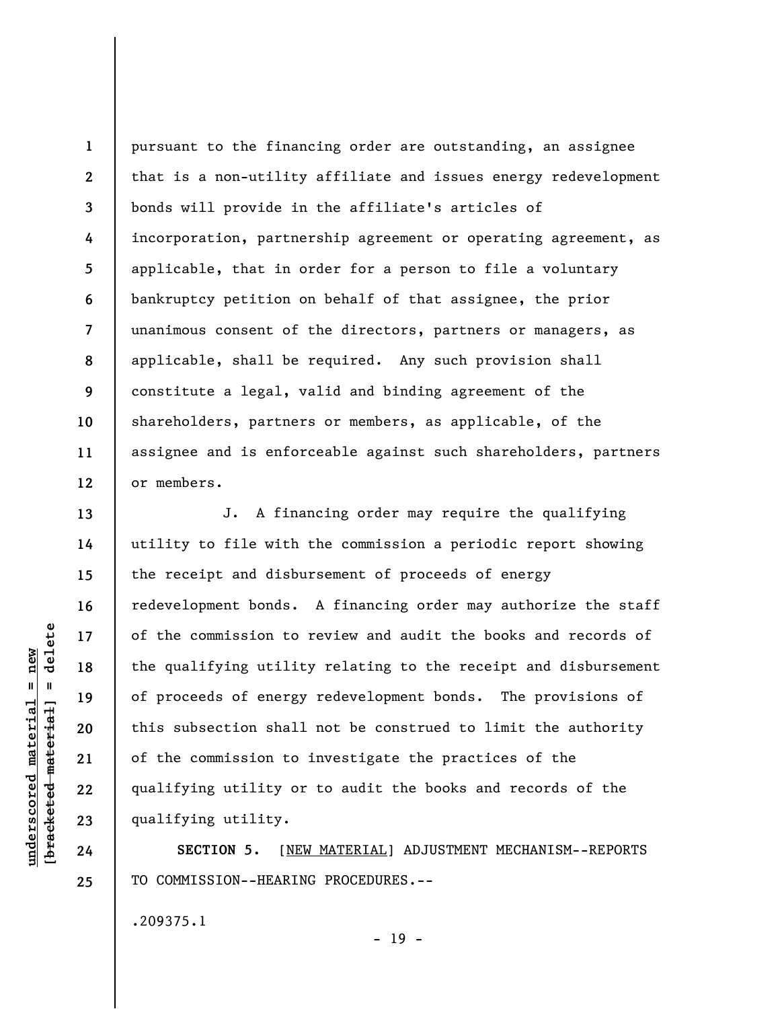**1 2 3 4 5 6 7 8 9 10 11 12**  pursuant to the financing order are outstanding, an assignee that is a non-utility affiliate and issues energy redevelopment bonds will provide in the affiliate's articles of incorporation, partnership agreement or operating agreement, as applicable, that in order for a person to file a voluntary bankruptcy petition on behalf of that assignee, the prior unanimous consent of the directors, partners or managers, as applicable, shall be required. Any such provision shall constitute a legal, valid and binding agreement of the shareholders, partners or members, as applicable, of the assignee and is enforceable against such shareholders, partners or members.

J. A financing order may require the qualifying utility to file with the commission a periodic report showing the receipt and disbursement of proceeds of energy redevelopment bonds. A financing order may authorize the staff of the commission to review and audit the books and records of the qualifying utility relating to the receipt and disbursement of proceeds of energy redevelopment bonds. The provisions of this subsection shall not be construed to limit the authority of the commission to investigate the practices of the qualifying utility or to audit the books and records of the qualifying utility.

**SECTION 5.** [NEW MATERIAL] ADJUSTMENT MECHANISM--REPORTS TO COMMISSION--HEARING PROCEDURES.--

 $- 19 -$ 

.209375.1

 $\frac{1}{2}$  intereted material = delete **[bracketed material] = delete**  $underscored material = new$ **underscored material = new**

**13** 

**14** 

**15** 

**16** 

**17** 

**18** 

**19** 

**20** 

**21** 

**22** 

**23** 

**24**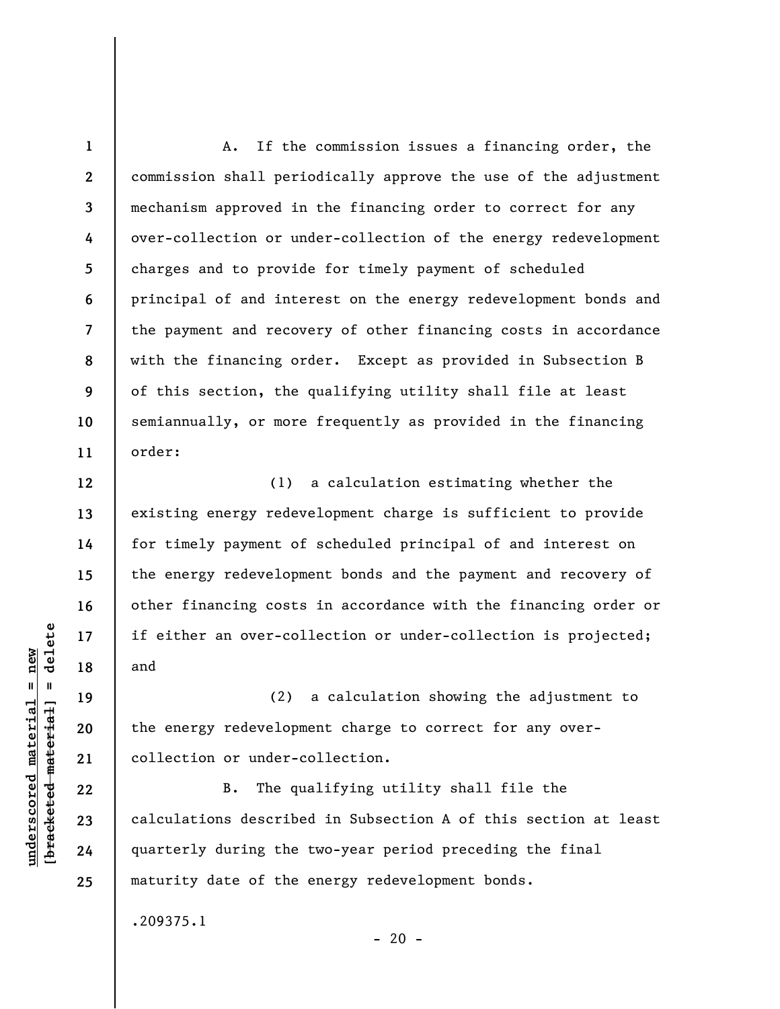**1 2 3 4 5 6 7 8 9 10 11**  A. If the commission issues a financing order, the commission shall periodically approve the use of the adjustment mechanism approved in the financing order to correct for any over-collection or under-collection of the energy redevelopment charges and to provide for timely payment of scheduled principal of and interest on the energy redevelopment bonds and the payment and recovery of other financing costs in accordance with the financing order. Except as provided in Subsection B of this section, the qualifying utility shall file at least semiannually, or more frequently as provided in the financing order:

(1) a calculation estimating whether the existing energy redevelopment charge is sufficient to provide for timely payment of scheduled principal of and interest on the energy redevelopment bonds and the payment and recovery of other financing costs in accordance with the financing order or if either an over-collection or under-collection is projected; and

(2) a calculation showing the adjustment to the energy redevelopment charge to correct for any overcollection or under-collection.

B. The qualifying utility shall file the calculations described in Subsection A of this section at least quarterly during the two-year period preceding the final maturity date of the energy redevelopment bonds.

 $- 20 -$ 

.209375.1

 $\frac{1}{2}$  bracketed material = delete **[bracketed material] = delete**  $underscored material = new$ **underscored material = new**

**12** 

**13** 

**14** 

**15** 

**16** 

**17** 

**18** 

**19** 

**20** 

**21** 

**22** 

**23** 

**24**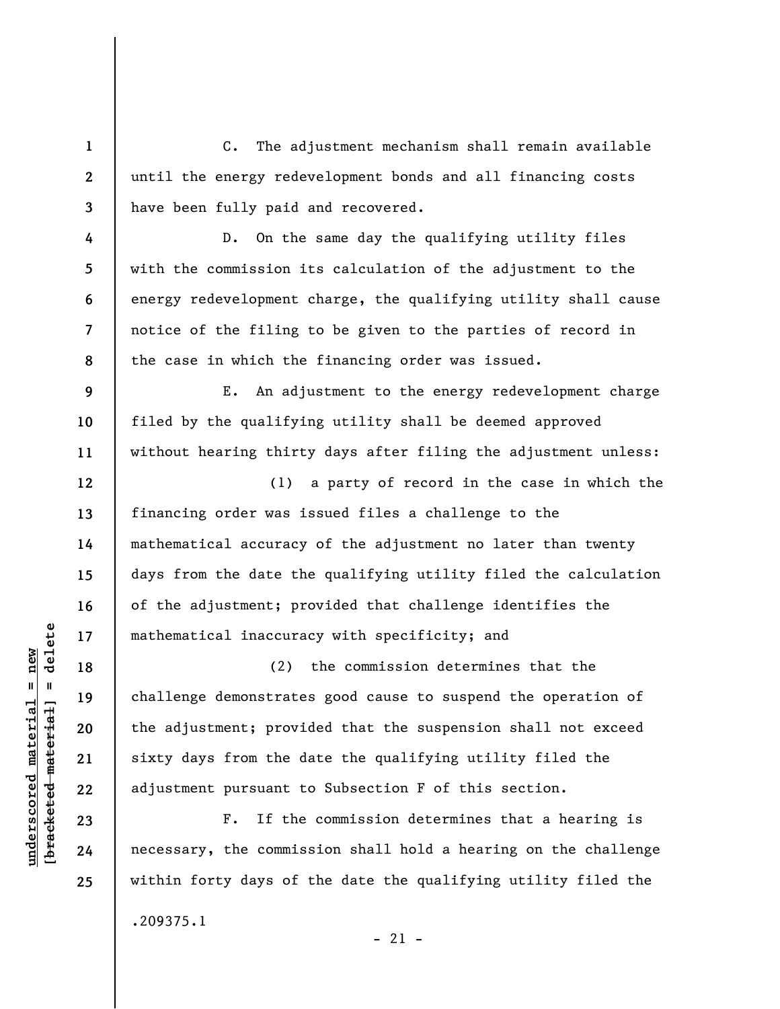C. The adjustment mechanism shall remain available until the energy redevelopment bonds and all financing costs have been fully paid and recovered.

D. On the same day the qualifying utility files with the commission its calculation of the adjustment to the energy redevelopment charge, the qualifying utility shall cause notice of the filing to be given to the parties of record in the case in which the financing order was issued.

E. An adjustment to the energy redevelopment charge filed by the qualifying utility shall be deemed approved without hearing thirty days after filing the adjustment unless:

(1) a party of record in the case in which the financing order was issued files a challenge to the mathematical accuracy of the adjustment no later than twenty days from the date the qualifying utility filed the calculation of the adjustment; provided that challenge identifies the mathematical inaccuracy with specificity; and

(2) the commission determines that the challenge demonstrates good cause to suspend the operation of the adjustment; provided that the suspension shall not exceed sixty days from the date the qualifying utility filed the adjustment pursuant to Subsection F of this section.

F. If the commission determines that a hearing is necessary, the commission shall hold a hearing on the challenge within forty days of the date the qualifying utility filed the .209375.1

 $\frac{1}{2}$  bracketed material = delete **[bracketed material] = delete**  $underscored material = new$ **underscored material = new**

**1** 

**2** 

**3** 

**4** 

**5** 

**6** 

**7** 

**8** 

**9** 

**10** 

**11** 

**12** 

**13** 

**14** 

**15** 

**16** 

**17** 

**18** 

**19** 

**20** 

**21** 

**22** 

**23** 

**24**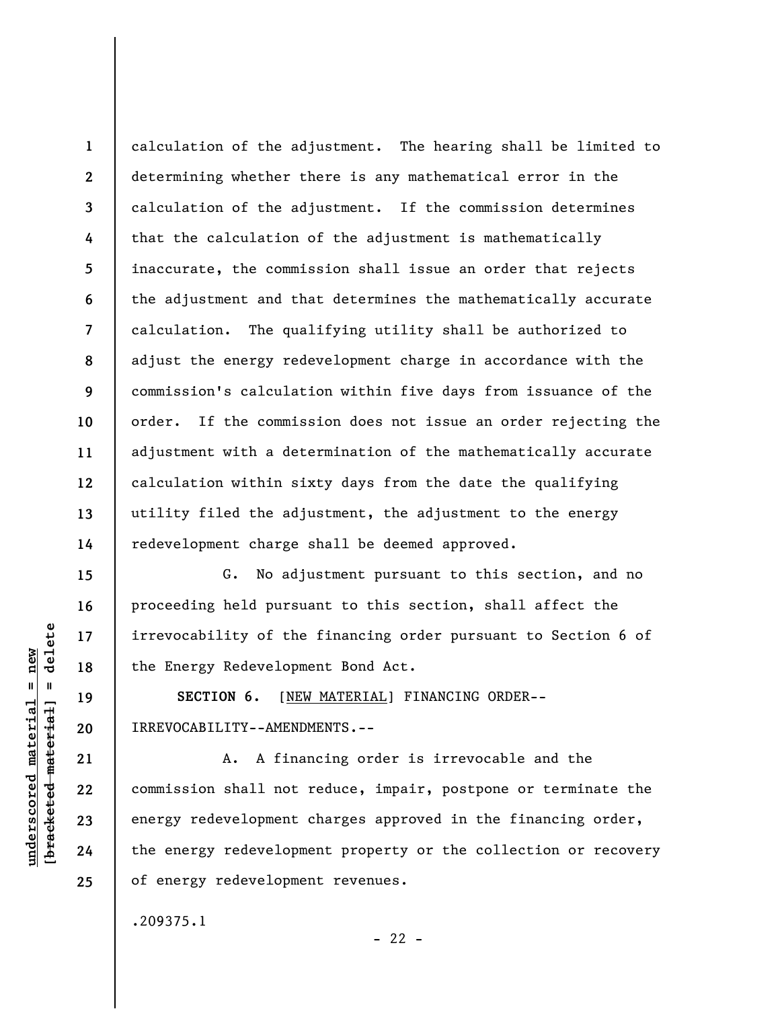**1 2 3 4 5 6 7 8 9 10 11 12 13 14**  calculation of the adjustment. The hearing shall be limited to determining whether there is any mathematical error in the calculation of the adjustment. If the commission determines that the calculation of the adjustment is mathematically inaccurate, the commission shall issue an order that rejects the adjustment and that determines the mathematically accurate calculation. The qualifying utility shall be authorized to adjust the energy redevelopment charge in accordance with the commission's calculation within five days from issuance of the order. If the commission does not issue an order rejecting the adjustment with a determination of the mathematically accurate calculation within sixty days from the date the qualifying utility filed the adjustment, the adjustment to the energy redevelopment charge shall be deemed approved.

G. No adjustment pursuant to this section, and no proceeding held pursuant to this section, shall affect the irrevocability of the financing order pursuant to Section 6 of the Energy Redevelopment Bond Act.

**SECTION 6.** [NEW MATERIAL] FINANCING ORDER-- IRREVOCABILITY--AMENDMENTS.--

A. A financing order is irrevocable and the commission shall not reduce, impair, postpone or terminate the energy redevelopment charges approved in the financing order, the energy redevelopment property or the collection or recovery of energy redevelopment revenues.

 $- 22 -$ 

.209375.1

 $=$  delete **[bracketed material] = delete**  $underscored material = new$ **underscored material = new** bracketed material

**15** 

**16** 

**17** 

**18** 

**19** 

**20** 

**21** 

**22** 

**23** 

**24**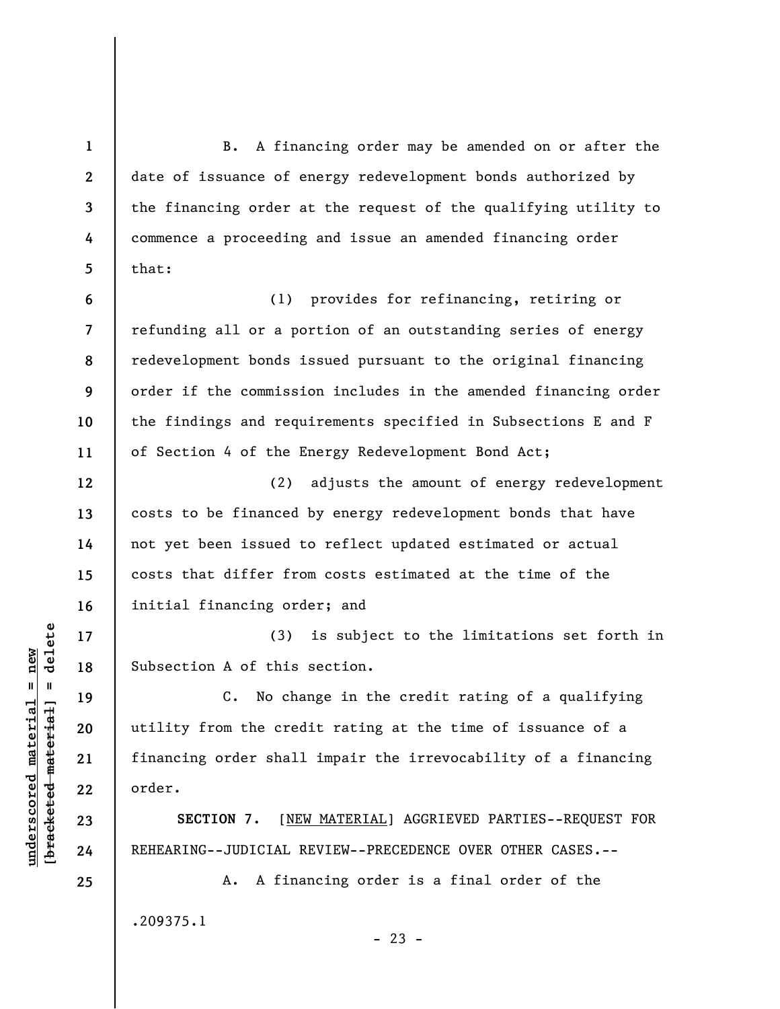**1 2 3 4 5 6 7 8 9 10 11 12 13 14 15 16 17 18 19 20 21 22 23 24 25**  B. A financing order may be amended on or after the date of issuance of energy redevelopment bonds authorized by the financing order at the request of the qualifying utility to commence a proceeding and issue an amended financing order that: (1) provides for refinancing, retiring or refunding all or a portion of an outstanding series of energy redevelopment bonds issued pursuant to the original financing order if the commission includes in the amended financing order the findings and requirements specified in Subsections E and F of Section 4 of the Energy Redevelopment Bond Act; (2) adjusts the amount of energy redevelopment costs to be financed by energy redevelopment bonds that have not yet been issued to reflect updated estimated or actual costs that differ from costs estimated at the time of the initial financing order; and (3) is subject to the limitations set forth in Subsection A of this section. C. No change in the credit rating of a qualifying utility from the credit rating at the time of issuance of a financing order shall impair the irrevocability of a financing order. **SECTION 7.** [NEW MATERIAL] AGGRIEVED PARTIES--REQUEST FOR REHEARING--JUDICIAL REVIEW--PRECEDENCE OVER OTHER CASES.-- A. A financing order is a final order of the .209375.1  $- 23 -$ 

**underscored material = new [bracketed material] = delete**

 $\frac{1}{2}$  bracketed material = delete  $underscored material = new$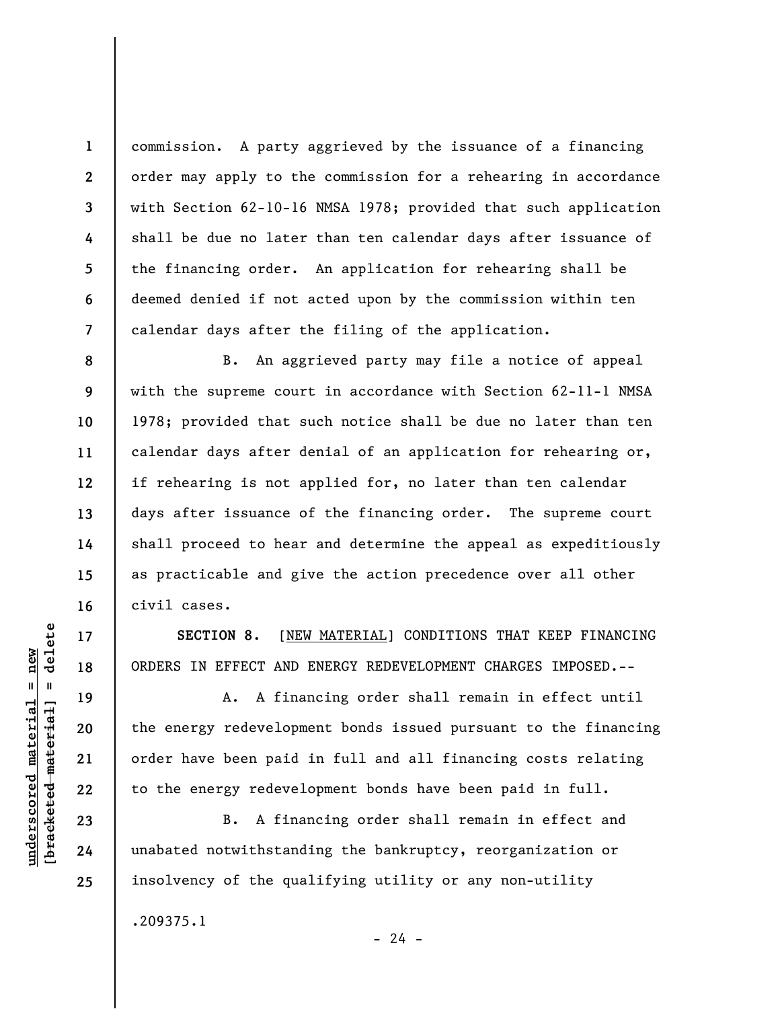commission. A party aggrieved by the issuance of a financing order may apply to the commission for a rehearing in accordance with Section 62-10-16 NMSA 1978; provided that such application shall be due no later than ten calendar days after issuance of the financing order. An application for rehearing shall be deemed denied if not acted upon by the commission within ten calendar days after the filing of the application.

B. An aggrieved party may file a notice of appeal with the supreme court in accordance with Section 62-11-1 NMSA 1978; provided that such notice shall be due no later than ten calendar days after denial of an application for rehearing or, if rehearing is not applied for, no later than ten calendar days after issuance of the financing order. The supreme court shall proceed to hear and determine the appeal as expeditiously as practicable and give the action precedence over all other civil cases.

**SECTION 8.** [NEW MATERIAL] CONDITIONS THAT KEEP FINANCING ORDERS IN EFFECT AND ENERGY REDEVELOPMENT CHARGES IMPOSED.--

A. A financing order shall remain in effect until the energy redevelopment bonds issued pursuant to the financing order have been paid in full and all financing costs relating to the energy redevelopment bonds have been paid in full.

B. A financing order shall remain in effect and unabated notwithstanding the bankruptcy, reorganization or insolvency of the qualifying utility or any non-utility

 $- 24 -$ 

 $\frac{1}{2}$  intereted material = delete **[bracketed material] = delete**  $underscored material = new$ **underscored material = new**

**1** 

**2** 

**3** 

**4** 

**5** 

**6** 

**7** 

**8** 

**9** 

**10** 

**11** 

**12** 

**13** 

**14** 

**15** 

**16** 

**17** 

**18** 

**19** 

**20** 

**21** 

**22** 

**23** 

**24** 

**25** 

.209375.1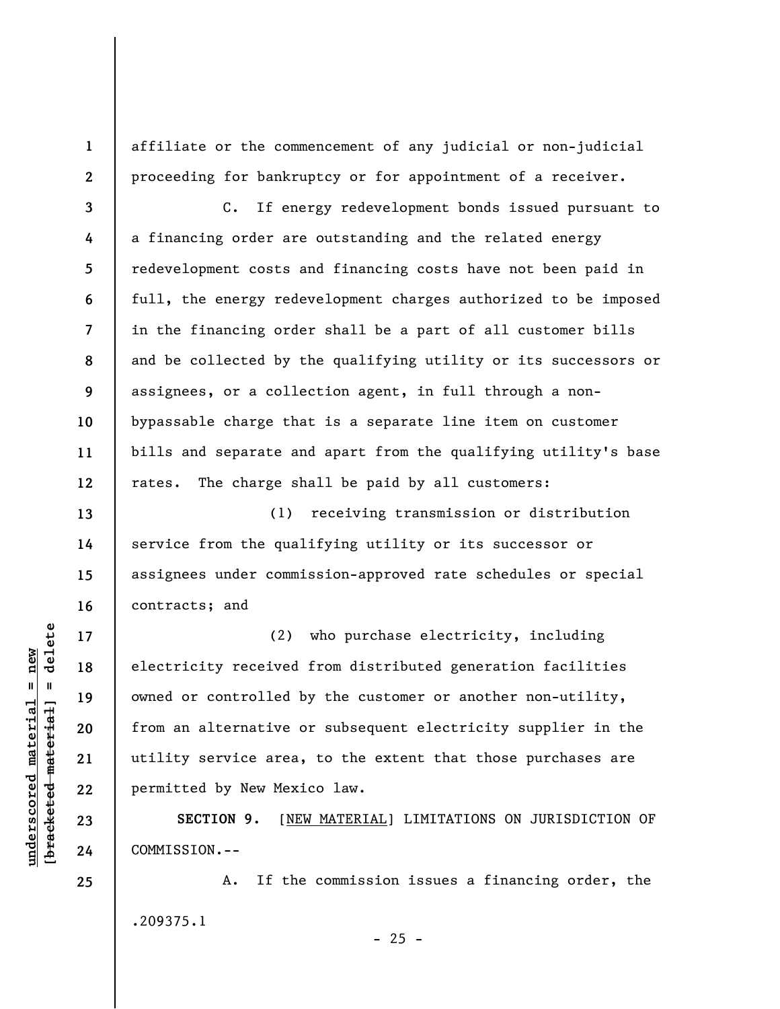affiliate or the commencement of any judicial or non-judicial proceeding for bankruptcy or for appointment of a receiver.

C. If energy redevelopment bonds issued pursuant to a financing order are outstanding and the related energy redevelopment costs and financing costs have not been paid in full, the energy redevelopment charges authorized to be imposed in the financing order shall be a part of all customer bills and be collected by the qualifying utility or its successors or assignees, or a collection agent, in full through a nonbypassable charge that is a separate line item on customer bills and separate and apart from the qualifying utility's base rates. The charge shall be paid by all customers:

(1) receiving transmission or distribution service from the qualifying utility or its successor or assignees under commission-approved rate schedules or special contracts; and

(2) who purchase electricity, including electricity received from distributed generation facilities owned or controlled by the customer or another non-utility, from an alternative or subsequent electricity supplier in the utility service area, to the extent that those purchases are permitted by New Mexico law.

**SECTION 9.** [NEW MATERIAL] LIMITATIONS ON JURISDICTION OF COMMISSION.--

A. If the commission issues a financing order, the .209375.1  $- 25 -$ 

 $\frac{1}{2}$  bracketed material = delete **[bracketed material] = delete**  $underscored material = new$ **underscored material = new**

**1** 

**2** 

**3** 

**4** 

**5** 

**6** 

**7** 

**8** 

**9** 

**10** 

**11** 

**12** 

**13** 

**14** 

**15** 

**16** 

**17** 

**18** 

**19** 

**20** 

**21** 

**22** 

**23** 

**24**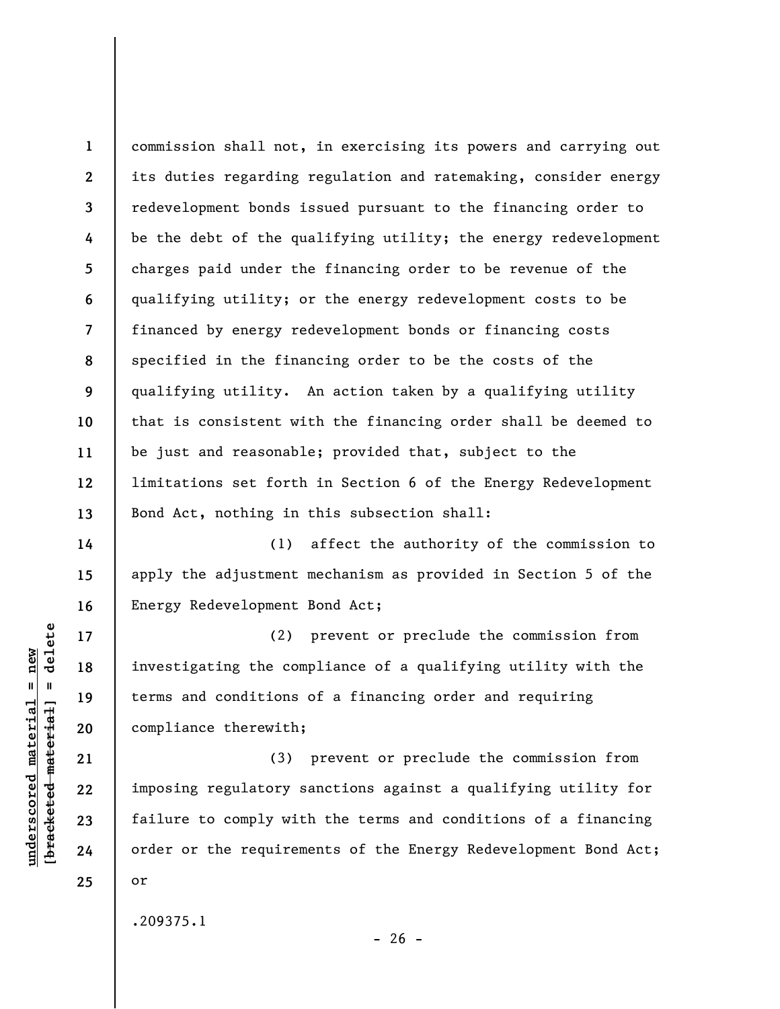**1 2 3 4 5 6 7 8 9 10 11 12 13**  commission shall not, in exercising its powers and carrying out its duties regarding regulation and ratemaking, consider energy redevelopment bonds issued pursuant to the financing order to be the debt of the qualifying utility; the energy redevelopment charges paid under the financing order to be revenue of the qualifying utility; or the energy redevelopment costs to be financed by energy redevelopment bonds or financing costs specified in the financing order to be the costs of the qualifying utility. An action taken by a qualifying utility that is consistent with the financing order shall be deemed to be just and reasonable; provided that, subject to the limitations set forth in Section 6 of the Energy Redevelopment Bond Act, nothing in this subsection shall:

(1) affect the authority of the commission to apply the adjustment mechanism as provided in Section 5 of the Energy Redevelopment Bond Act;

(2) prevent or preclude the commission from investigating the compliance of a qualifying utility with the terms and conditions of a financing order and requiring compliance therewith;

(3) prevent or preclude the commission from imposing regulatory sanctions against a qualifying utility for failure to comply with the terms and conditions of a financing order or the requirements of the Energy Redevelopment Bond Act; or

.209375.1

 $\frac{1}{2}$  bracketed material = delete **[bracketed material] = delete**  $anderscored material = new$ **underscored material = new**

**14** 

**15** 

**16** 

**17** 

**18** 

**19** 

**20** 

**21** 

**22** 

**23** 

**24** 

**25** 

 $- 26 -$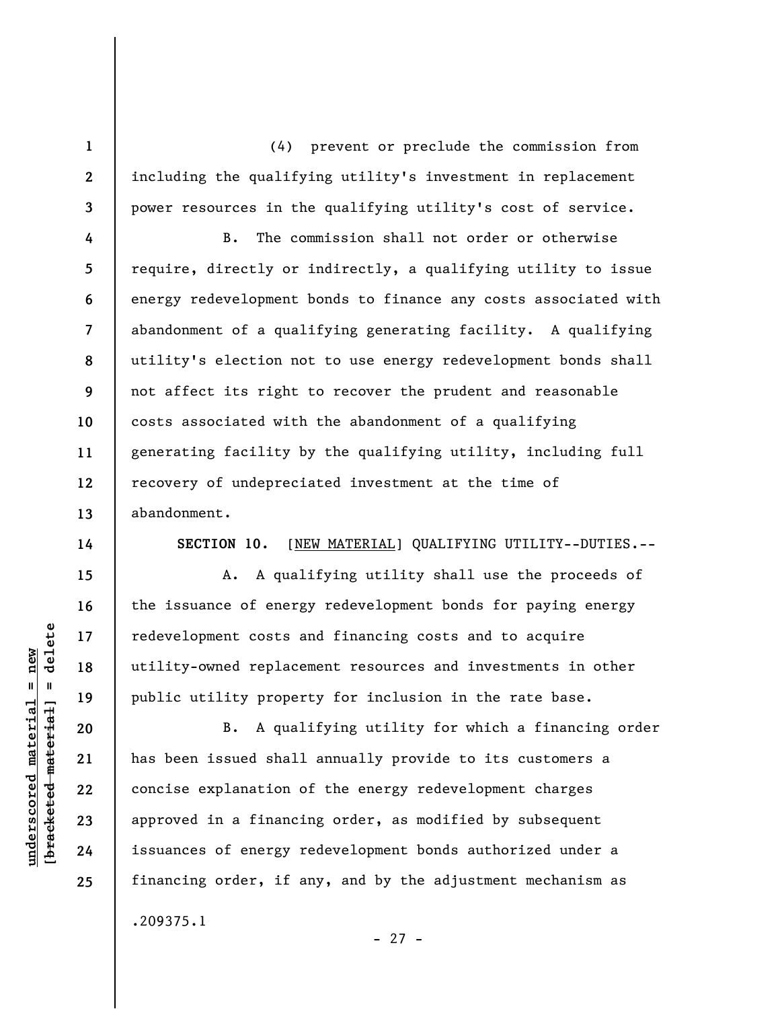(4) prevent or preclude the commission from including the qualifying utility's investment in replacement power resources in the qualifying utility's cost of service.

**4 5 6 7 8 9 10 11 12 13**  B. The commission shall not order or otherwise require, directly or indirectly, a qualifying utility to issue energy redevelopment bonds to finance any costs associated with abandonment of a qualifying generating facility. A qualifying utility's election not to use energy redevelopment bonds shall not affect its right to recover the prudent and reasonable costs associated with the abandonment of a qualifying generating facility by the qualifying utility, including full recovery of undepreciated investment at the time of abandonment.

**14** 

**15** 

**16** 

**17** 

**18** 

**19** 

**20** 

**21** 

**22** 

**23** 

**24** 

**25** 

**1** 

**2** 

**3** 

**SECTION 10.** [NEW MATERIAL] QUALIFYING UTILITY--DUTIES.--

A. A qualifying utility shall use the proceeds of the issuance of energy redevelopment bonds for paying energy redevelopment costs and financing costs and to acquire utility-owned replacement resources and investments in other public utility property for inclusion in the rate base.

B. A qualifying utility for which a financing order has been issued shall annually provide to its customers a concise explanation of the energy redevelopment charges approved in a financing order, as modified by subsequent issuances of energy redevelopment bonds authorized under a financing order, if any, and by the adjustment mechanism as .209375.1

- 27 -

 $\frac{1}{2}$  bracketed material = delete **[bracketed material] = delete**  $underscored material = new$ **underscored material = new**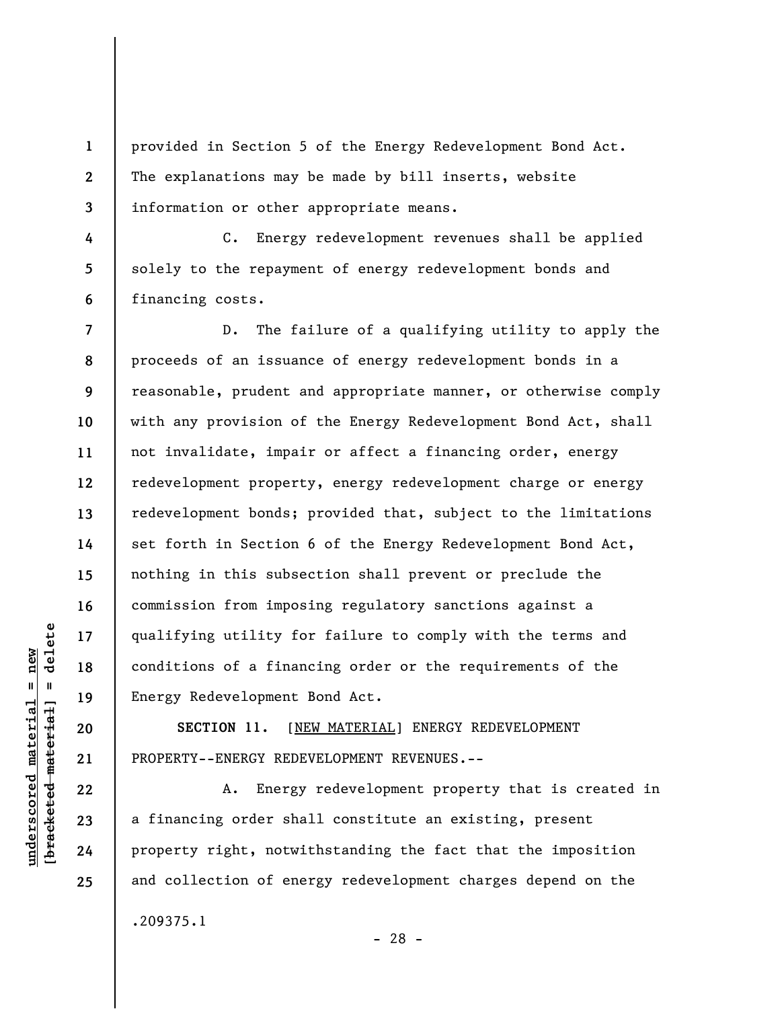**1 2 3**  provided in Section 5 of the Energy Redevelopment Bond Act. The explanations may be made by bill inserts, website information or other appropriate means.

C. Energy redevelopment revenues shall be applied solely to the repayment of energy redevelopment bonds and financing costs.

**7 8 9 10 11 12 13 14 15 16 17 18 19**  D. The failure of a qualifying utility to apply the proceeds of an issuance of energy redevelopment bonds in a reasonable, prudent and appropriate manner, or otherwise comply with any provision of the Energy Redevelopment Bond Act, shall not invalidate, impair or affect a financing order, energy redevelopment property, energy redevelopment charge or energy redevelopment bonds; provided that, subject to the limitations set forth in Section 6 of the Energy Redevelopment Bond Act, nothing in this subsection shall prevent or preclude the commission from imposing regulatory sanctions against a qualifying utility for failure to comply with the terms and conditions of a financing order or the requirements of the Energy Redevelopment Bond Act.

**SECTION 11.** [NEW MATERIAL] ENERGY REDEVELOPMENT PROPERTY--ENERGY REDEVELOPMENT REVENUES.--

A. Energy redevelopment property that is created in a financing order shall constitute an existing, present property right, notwithstanding the fact that the imposition and collection of energy redevelopment charges depend on the .209375.1

 $\frac{1}{2}$  intereted material = delete **[bracketed material] = delete**  $underscored material = new$ **underscored material = new**

**24 25** 

**20** 

**21** 

**22** 

**23** 

**4** 

**5** 

**6** 

- 28 -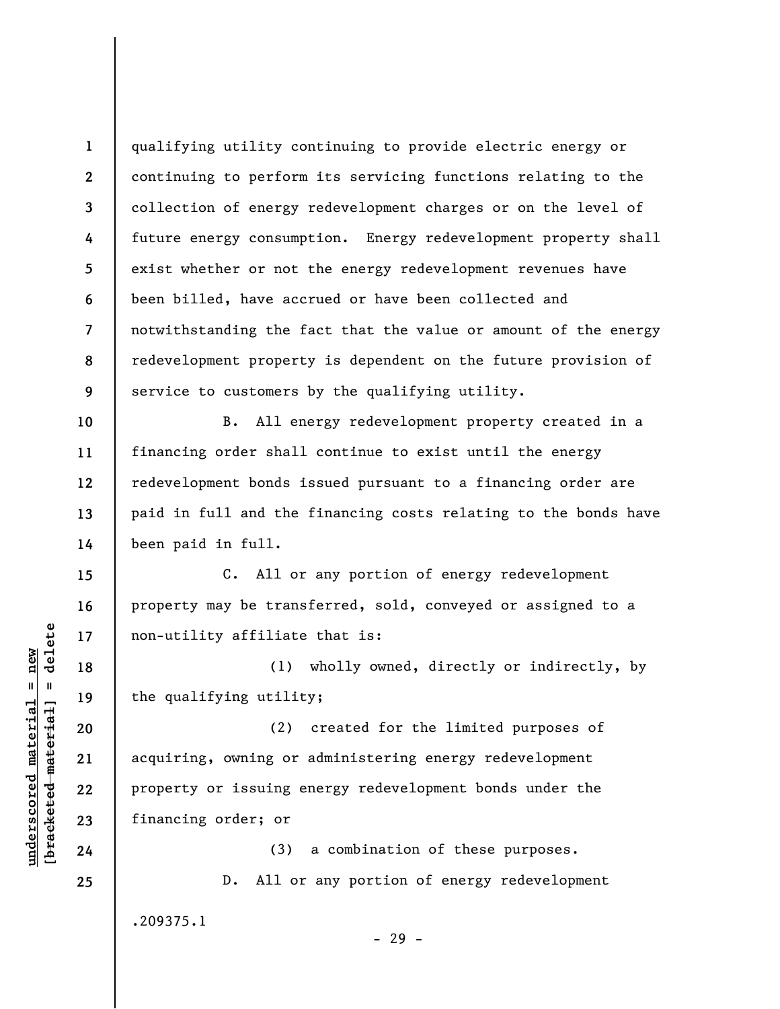**1 2 3 4 5 6 7 8 9**  qualifying utility continuing to provide electric energy or continuing to perform its servicing functions relating to the collection of energy redevelopment charges or on the level of future energy consumption. Energy redevelopment property shall exist whether or not the energy redevelopment revenues have been billed, have accrued or have been collected and notwithstanding the fact that the value or amount of the energy redevelopment property is dependent on the future provision of service to customers by the qualifying utility.

B. All energy redevelopment property created in a financing order shall continue to exist until the energy redevelopment bonds issued pursuant to a financing order are paid in full and the financing costs relating to the bonds have been paid in full.

C. All or any portion of energy redevelopment property may be transferred, sold, conveyed or assigned to a non-utility affiliate that is:

(1) wholly owned, directly or indirectly, by the qualifying utility;

(2) created for the limited purposes of acquiring, owning or administering energy redevelopment property or issuing energy redevelopment bonds under the financing order; or

(3) a combination of these purposes. D. All or any portion of energy redevelopment .209375.1

- 29 -

 $\frac{1}{2}$  intereted material = delete **[bracketed material] = delete**  $underscored material = new$ **underscored material = new**

**10** 

**11** 

**12** 

**13** 

**14** 

**15** 

**16** 

**17** 

**18** 

**19** 

**20** 

**21** 

**22** 

**23** 

**24**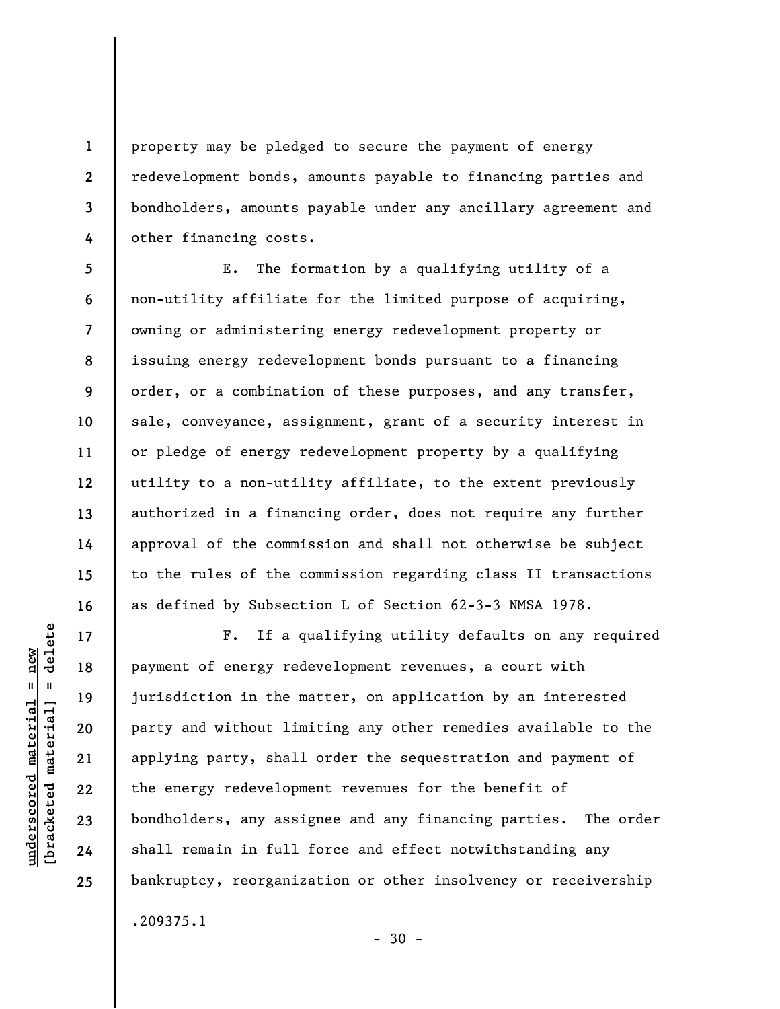property may be pledged to secure the payment of energy redevelopment bonds, amounts payable to financing parties and bondholders, amounts payable under any ancillary agreement and other financing costs.

**5 6 7 8 9 10 11 12 13 14 15 16**  E. The formation by a qualifying utility of a non-utility affiliate for the limited purpose of acquiring, owning or administering energy redevelopment property or issuing energy redevelopment bonds pursuant to a financing order, or a combination of these purposes, and any transfer, sale, conveyance, assignment, grant of a security interest in or pledge of energy redevelopment property by a qualifying utility to a non-utility affiliate, to the extent previously authorized in a financing order, does not require any further approval of the commission and shall not otherwise be subject to the rules of the commission regarding class II transactions as defined by Subsection L of Section 62-3-3 NMSA 1978.

 $\frac{1}{2}$  intereted material = delete **[bracketed material] = delete**  $underscored material = new$ **underscored material = new**

**17** 

**18** 

**19** 

**20** 

**21** 

**22** 

**23** 

**24** 

**25** 

**1** 

**2** 

**3** 

**4** 

F. If a qualifying utility defaults on any required payment of energy redevelopment revenues, a court with jurisdiction in the matter, on application by an interested party and without limiting any other remedies available to the applying party, shall order the sequestration and payment of the energy redevelopment revenues for the benefit of bondholders, any assignee and any financing parties. The order shall remain in full force and effect notwithstanding any bankruptcy, reorganization or other insolvency or receivership .209375.1

 $-30 -$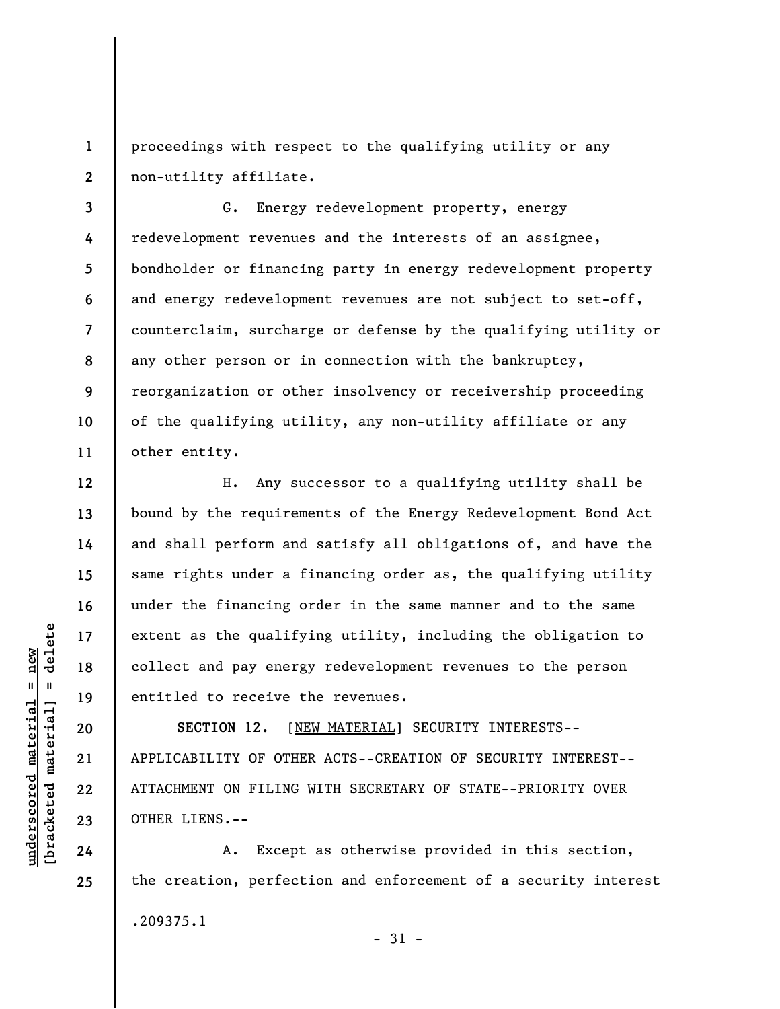**1 2**  proceedings with respect to the qualifying utility or any non-utility affiliate.

**3 4 5 6 7 8 9 10 11**  G. Energy redevelopment property, energy redevelopment revenues and the interests of an assignee, bondholder or financing party in energy redevelopment property and energy redevelopment revenues are not subject to set-off, counterclaim, surcharge or defense by the qualifying utility or any other person or in connection with the bankruptcy, reorganization or other insolvency or receivership proceeding of the qualifying utility, any non-utility affiliate or any other entity.

H. Any successor to a qualifying utility shall be bound by the requirements of the Energy Redevelopment Bond Act and shall perform and satisfy all obligations of, and have the same rights under a financing order as, the qualifying utility under the financing order in the same manner and to the same extent as the qualifying utility, including the obligation to collect and pay energy redevelopment revenues to the person entitled to receive the revenues.

**SECTION 12.** [NEW MATERIAL] SECURITY INTERESTS-- APPLICABILITY OF OTHER ACTS--CREATION OF SECURITY INTEREST-- ATTACHMENT ON FILING WITH SECRETARY OF STATE--PRIORITY OVER OTHER LIENS.--

A. Except as otherwise provided in this section, the creation, perfection and enforcement of a security interest .209375.1 - 31 -

 $\frac{1}{2}$  intereted material = delete **[bracketed material] = delete**  $underscored material = new$ **underscored material = new**

**12** 

**13** 

**14** 

**15** 

**16** 

**17** 

**18** 

**19** 

**20** 

**21** 

**22** 

**23** 

**24**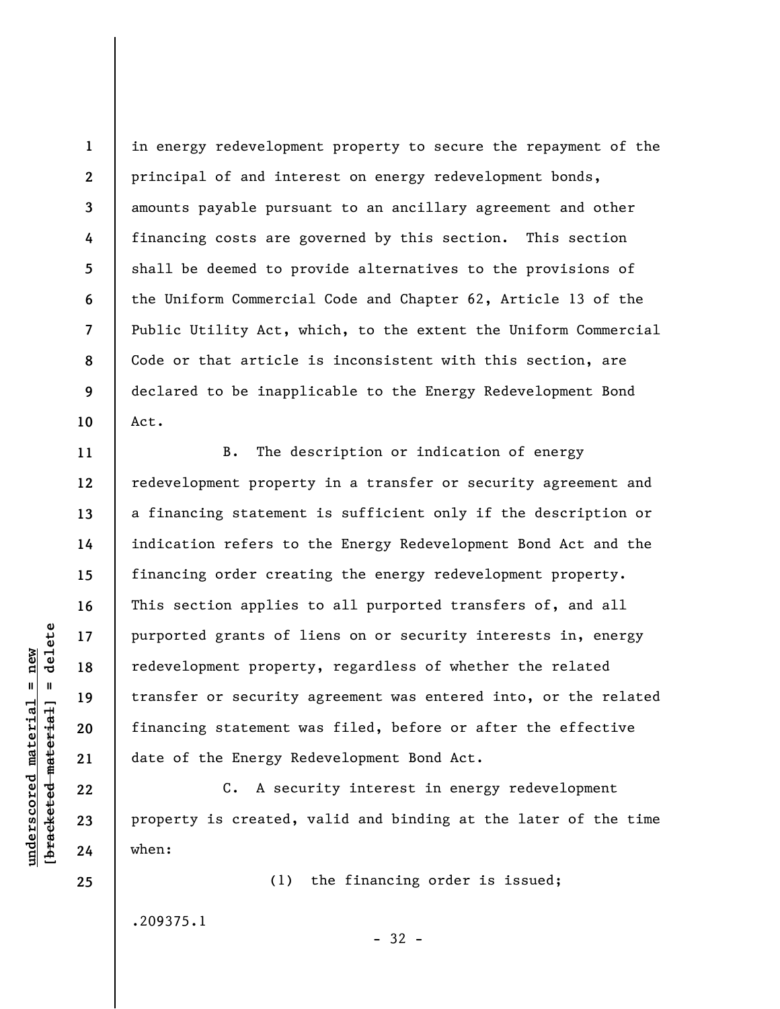**1 2 3 4 5 6 7 8 9 10**  in energy redevelopment property to secure the repayment of the principal of and interest on energy redevelopment bonds, amounts payable pursuant to an ancillary agreement and other financing costs are governed by this section. This section shall be deemed to provide alternatives to the provisions of the Uniform Commercial Code and Chapter 62, Article 13 of the Public Utility Act, which, to the extent the Uniform Commercial Code or that article is inconsistent with this section, are declared to be inapplicable to the Energy Redevelopment Bond Act.

B. The description or indication of energy redevelopment property in a transfer or security agreement and a financing statement is sufficient only if the description or indication refers to the Energy Redevelopment Bond Act and the financing order creating the energy redevelopment property. This section applies to all purported transfers of, and all purported grants of liens on or security interests in, energy redevelopment property, regardless of whether the related transfer or security agreement was entered into, or the related financing statement was filed, before or after the effective date of the Energy Redevelopment Bond Act.

C. A security interest in energy redevelopment property is created, valid and binding at the later of the time when:

(1) the financing order is issued;

- 32 -

.209375.1

 $b$ racketed material] = delete **[bracketed material] = delete**  $underscored material = new$ **underscored material = new**

**11** 

**12** 

**13** 

**14** 

**15** 

**16** 

**17** 

**18** 

**19** 

**20** 

**21** 

**22** 

**23** 

**24**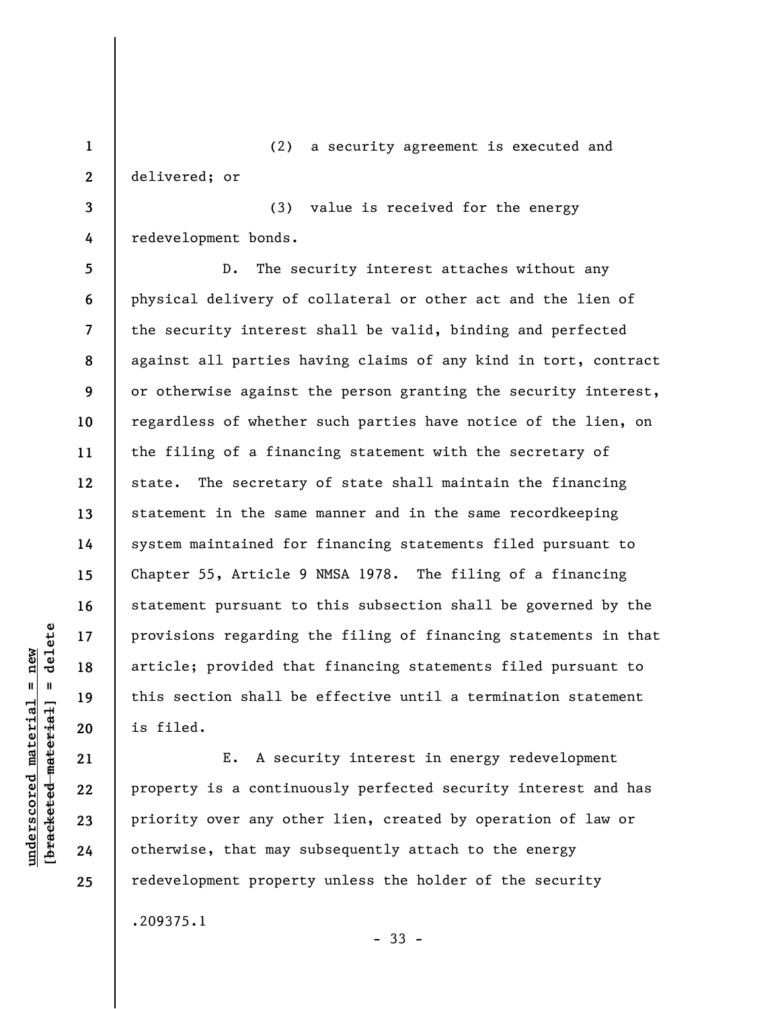**1 2**  (2) a security agreement is executed and delivered; or

**3 4**  (3) value is received for the energy redevelopment bonds.

**8**  D. The security interest attaches without any physical delivery of collateral or other act and the lien of the security interest shall be valid, binding and perfected against all parties having claims of any kind in tort, contract or otherwise against the person granting the security interest, regardless of whether such parties have notice of the lien, on the filing of a financing statement with the secretary of state. The secretary of state shall maintain the financing statement in the same manner and in the same recordkeeping system maintained for financing statements filed pursuant to Chapter 55, Article 9 NMSA 1978. The filing of a financing statement pursuant to this subsection shall be governed by the provisions regarding the filing of financing statements in that article; provided that financing statements filed pursuant to this section shall be effective until a termination statement is filed.

E. A security interest in energy redevelopment property is a continuously perfected security interest and has priority over any other lien, created by operation of law or otherwise, that may subsequently attach to the energy redevelopment property unless the holder of the security .209375.1

- 33 -

**5** 

**6** 

**7** 

**9** 

**10** 

**11** 

**12** 

**13** 

**14** 

**15** 

**16** 

**17** 

**18** 

**19** 

**20** 

**21** 

**22** 

**23** 

**24**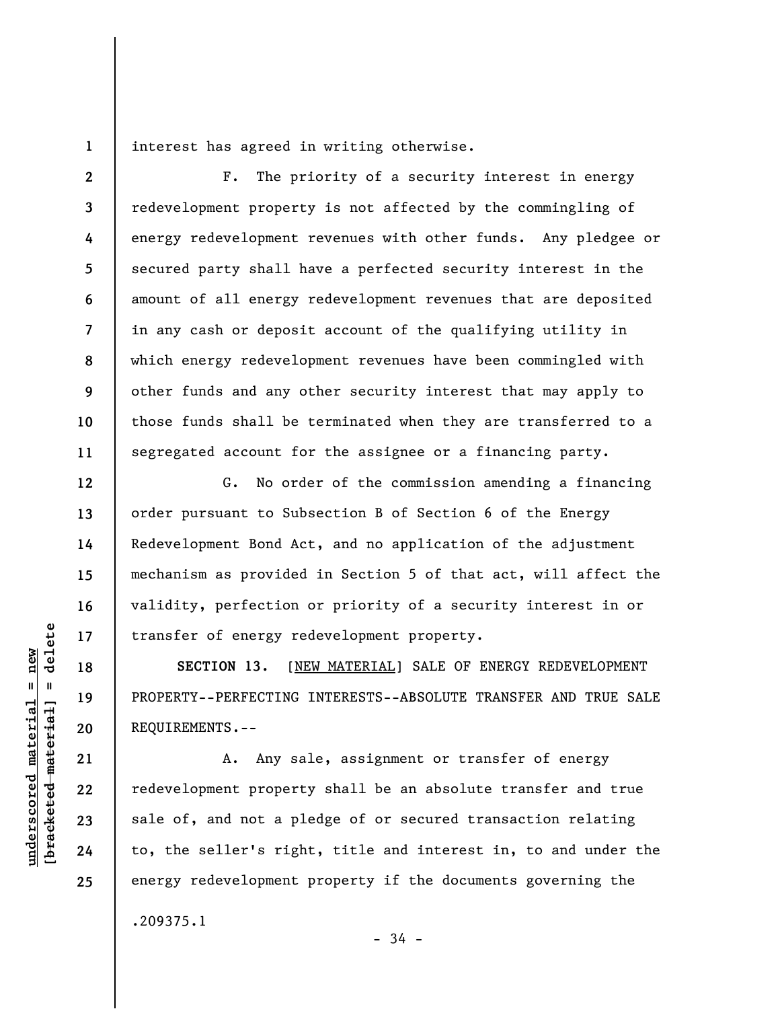**1**  interest has agreed in writing otherwise.

F. The priority of a security interest in energy redevelopment property is not affected by the commingling of energy redevelopment revenues with other funds. Any pledgee or secured party shall have a perfected security interest in the amount of all energy redevelopment revenues that are deposited in any cash or deposit account of the qualifying utility in which energy redevelopment revenues have been commingled with other funds and any other security interest that may apply to those funds shall be terminated when they are transferred to a segregated account for the assignee or a financing party.

G. No order of the commission amending a financing order pursuant to Subsection B of Section 6 of the Energy Redevelopment Bond Act, and no application of the adjustment mechanism as provided in Section 5 of that act, will affect the validity, perfection or priority of a security interest in or transfer of energy redevelopment property.

**SECTION 13.** [NEW MATERIAL] SALE OF ENERGY REDEVELOPMENT PROPERTY--PERFECTING INTERESTS--ABSOLUTE TRANSFER AND TRUE SALE REQUIREMENTS.--

A. Any sale, assignment or transfer of energy redevelopment property shall be an absolute transfer and true sale of, and not a pledge of or secured transaction relating to, the seller's right, title and interest in, to and under the energy redevelopment property if the documents governing the .209375.1

 $\frac{1}{2}$  intereted material = delete **[bracketed material] = delete**  $underscored material = new$ **underscored material = new**

**2** 

**3** 

**4** 

**5** 

**6** 

**7** 

**8** 

**9** 

**10** 

**11** 

**12** 

**13** 

**14** 

**15** 

**16** 

**17** 

**18** 

**19** 

**20** 

**21** 

**22** 

**23** 

**24**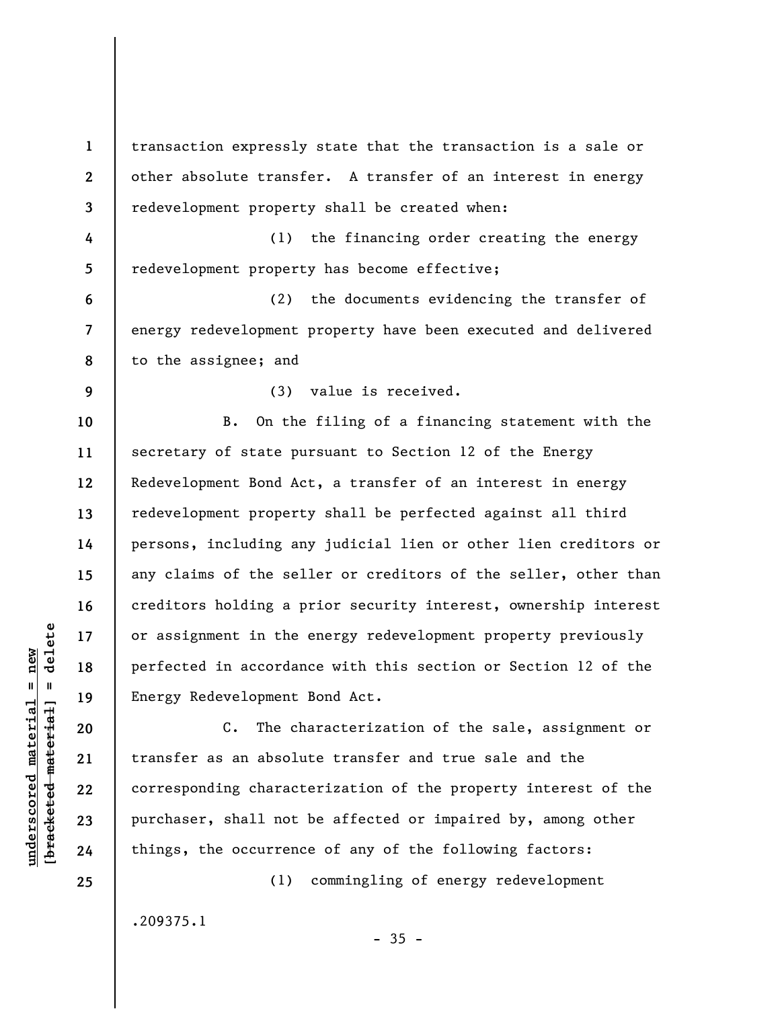**1 2 3 4 5 6 7 8 9 10 11 12 13 14 15 16 17 18 19 20 21 22 23 24**  transaction expressly state that the transaction is a sale or other absolute transfer. A transfer of an interest in energy redevelopment property shall be created when: (1) the financing order creating the energy redevelopment property has become effective; (2) the documents evidencing the transfer of energy redevelopment property have been executed and delivered to the assignee; and (3) value is received. B. On the filing of a financing statement with the secretary of state pursuant to Section 12 of the Energy Redevelopment Bond Act, a transfer of an interest in energy redevelopment property shall be perfected against all third persons, including any judicial lien or other lien creditors or any claims of the seller or creditors of the seller, other than creditors holding a prior security interest, ownership interest or assignment in the energy redevelopment property previously perfected in accordance with this section or Section 12 of the Energy Redevelopment Bond Act. C. The characterization of the sale, assignment or transfer as an absolute transfer and true sale and the corresponding characterization of the property interest of the purchaser, shall not be affected or impaired by, among other things, the occurrence of any of the following factors:

(1) commingling of energy redevelopment

 $-35 -$ 

.209375.1

 $\frac{1}{2}$  intereted material = delete **[bracketed material] = delete**  $underscored material = new$ **underscored material = new**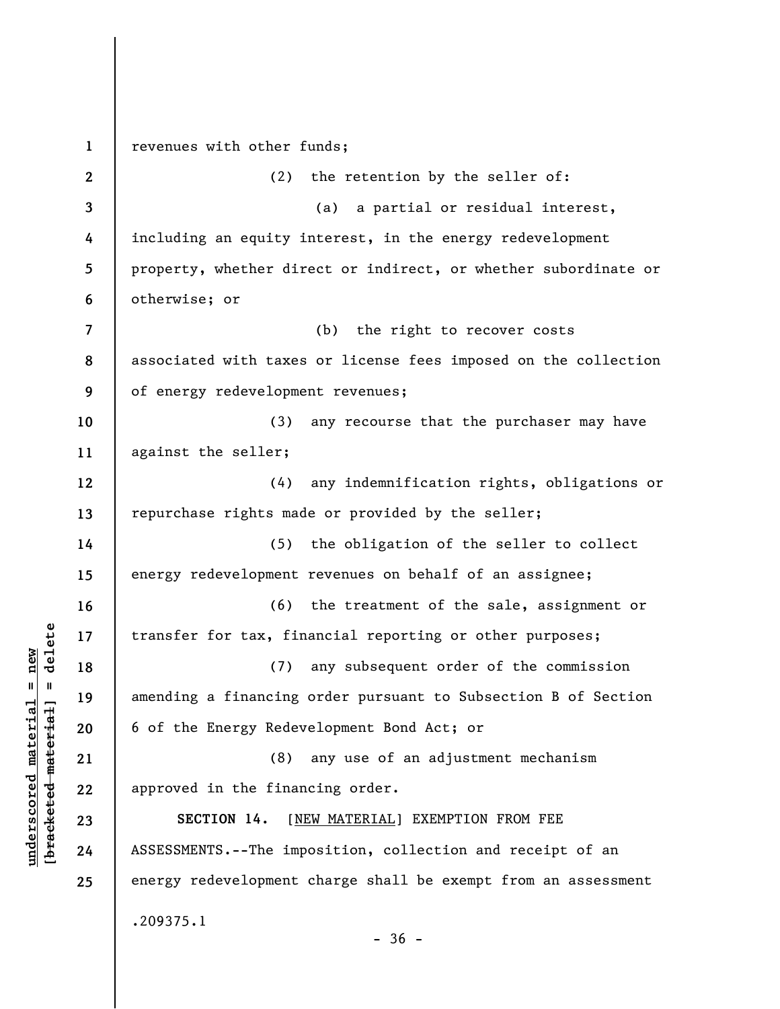**1 2 3 4 5 6 7 8 9 10 11 12 13 14 15 16 17 18 19 20 21 22 23 24 25**  revenues with other funds; (2) the retention by the seller of: (a) a partial or residual interest, including an equity interest, in the energy redevelopment property, whether direct or indirect, or whether subordinate or otherwise; or (b) the right to recover costs associated with taxes or license fees imposed on the collection of energy redevelopment revenues; (3) any recourse that the purchaser may have against the seller; (4) any indemnification rights, obligations or repurchase rights made or provided by the seller; (5) the obligation of the seller to collect energy redevelopment revenues on behalf of an assignee; (6) the treatment of the sale, assignment or transfer for tax, financial reporting or other purposes; (7) any subsequent order of the commission amending a financing order pursuant to Subsection B of Section 6 of the Energy Redevelopment Bond Act; or (8) any use of an adjustment mechanism approved in the financing order. **SECTION 14.** [NEW MATERIAL] EXEMPTION FROM FEE ASSESSMENTS.--The imposition, collection and receipt of an energy redevelopment charge shall be exempt from an assessment .209375.1  $-36 -$ 

**underscored material = new [bracketed material] = delete**

 $\frac{1}{2}$  intereted material = delete  $underscored material = new$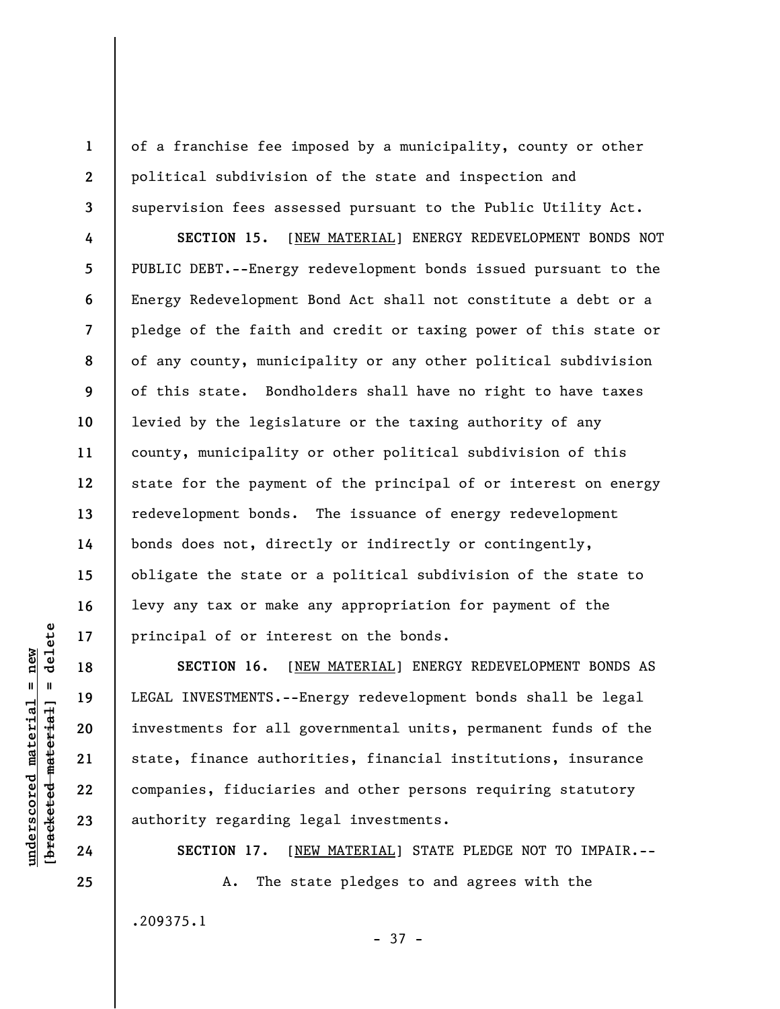of a franchise fee imposed by a municipality, county or other political subdivision of the state and inspection and supervision fees assessed pursuant to the Public Utility Act.

**SECTION 15.** [NEW MATERIAL] ENERGY REDEVELOPMENT BONDS NOT PUBLIC DEBT.--Energy redevelopment bonds issued pursuant to the Energy Redevelopment Bond Act shall not constitute a debt or a pledge of the faith and credit or taxing power of this state or of any county, municipality or any other political subdivision of this state. Bondholders shall have no right to have taxes levied by the legislature or the taxing authority of any county, municipality or other political subdivision of this state for the payment of the principal of or interest on energy redevelopment bonds. The issuance of energy redevelopment bonds does not, directly or indirectly or contingently, obligate the state or a political subdivision of the state to levy any tax or make any appropriation for payment of the principal of or interest on the bonds.

**SECTION 16.** [NEW MATERIAL] ENERGY REDEVELOPMENT BONDS AS LEGAL INVESTMENTS.--Energy redevelopment bonds shall be legal investments for all governmental units, permanent funds of the state, finance authorities, financial institutions, insurance companies, fiduciaries and other persons requiring statutory authority regarding legal investments.

**SECTION 17.** [NEW MATERIAL] STATE PLEDGE NOT TO IMPAIR.--

A. The state pledges to and agrees with the

.209375.1

- 37 -

**1** 

**2** 

**3** 

**4** 

**5** 

**6** 

**7** 

**8** 

**9** 

**10** 

**11** 

**12** 

**13** 

**14** 

**15** 

**16** 

**17** 

**18** 

**19** 

**20** 

**21** 

**22** 

**23** 

**24**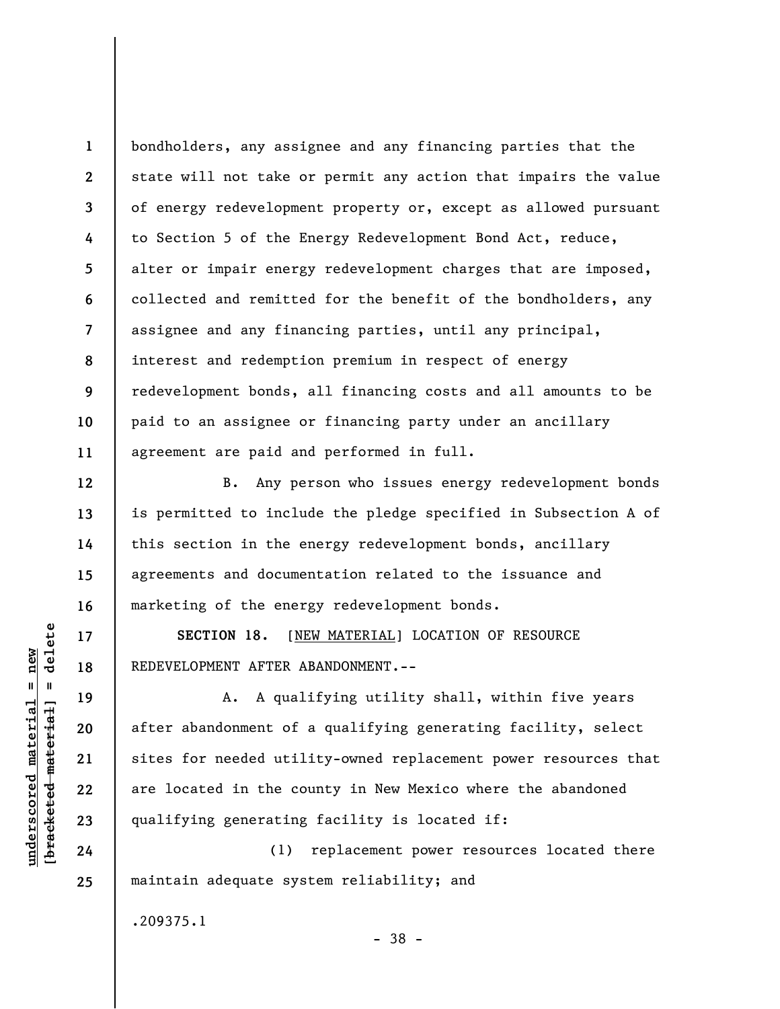**1 2 3 4 5 6 7 8 9 10 11**  bondholders, any assignee and any financing parties that the state will not take or permit any action that impairs the value of energy redevelopment property or, except as allowed pursuant to Section 5 of the Energy Redevelopment Bond Act, reduce, alter or impair energy redevelopment charges that are imposed, collected and remitted for the benefit of the bondholders, any assignee and any financing parties, until any principal, interest and redemption premium in respect of energy redevelopment bonds, all financing costs and all amounts to be paid to an assignee or financing party under an ancillary agreement are paid and performed in full.

B. Any person who issues energy redevelopment bonds is permitted to include the pledge specified in Subsection A of this section in the energy redevelopment bonds, ancillary agreements and documentation related to the issuance and marketing of the energy redevelopment bonds.

**SECTION 18.** [NEW MATERIAL] LOCATION OF RESOURCE REDEVELOPMENT AFTER ABANDONMENT.--

A. A qualifying utility shall, within five years after abandonment of a qualifying generating facility, select sites for needed utility-owned replacement power resources that are located in the county in New Mexico where the abandoned qualifying generating facility is located if:

(1) replacement power resources located there maintain adequate system reliability; and

- 38 -

.209375.1

 $\frac{1}{2}$  of  $\frac{1}{2}$  and  $\frac{1}{2}$  and  $\frac{1}{2}$  and  $\frac{1}{2}$  and  $\frac{1}{2}$  and  $\frac{1}{2}$  and  $\frac{1}{2}$  and  $\frac{1}{2}$  and  $\frac{1}{2}$  and  $\frac{1}{2}$  and  $\frac{1}{2}$  and  $\frac{1}{2}$  and  $\frac{1}{2}$  and  $\frac{1}{2}$  and  $\frac{1}{2}$  an **[bracketed material] = delete**  $anderscored material = new$ **underscored material = new**

**12** 

**13** 

**14** 

**15** 

**16** 

**17** 

**18** 

**19** 

**20** 

**21** 

**22** 

**23** 

**24**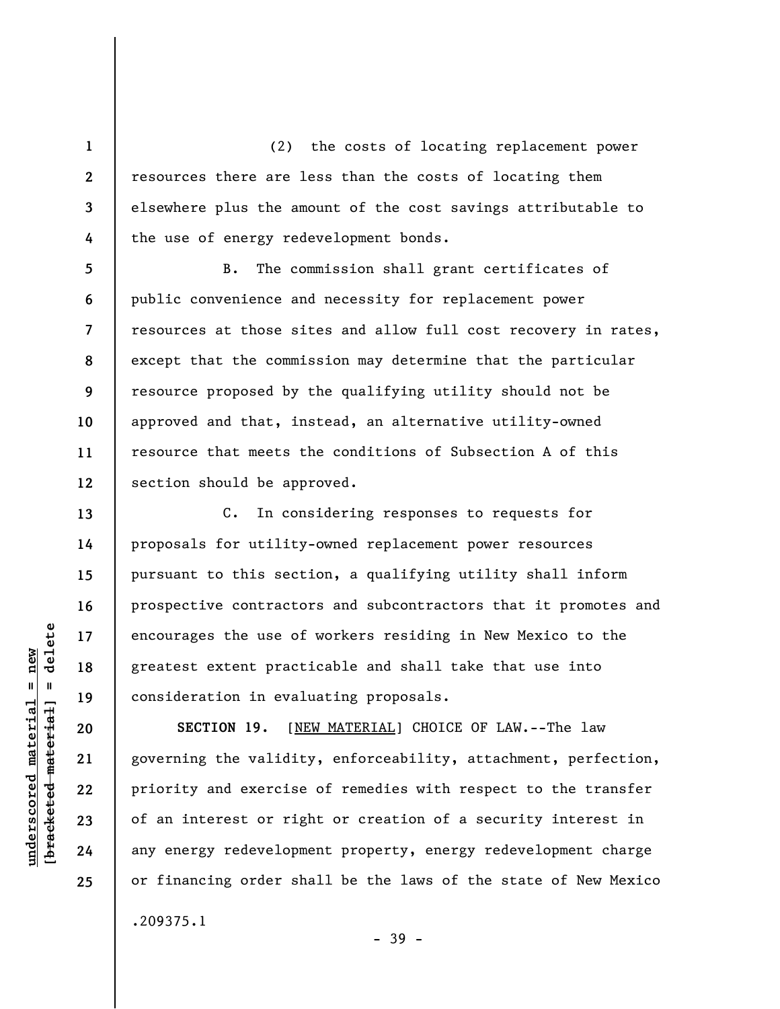**2**  (2) the costs of locating replacement power resources there are less than the costs of locating them elsewhere plus the amount of the cost savings attributable to the use of energy redevelopment bonds.

**5 6 7 8 9 10 11 12**  B. The commission shall grant certificates of public convenience and necessity for replacement power resources at those sites and allow full cost recovery in rates, except that the commission may determine that the particular resource proposed by the qualifying utility should not be approved and that, instead, an alternative utility-owned resource that meets the conditions of Subsection A of this section should be approved.

C. In considering responses to requests for proposals for utility-owned replacement power resources pursuant to this section, a qualifying utility shall inform prospective contractors and subcontractors that it promotes and encourages the use of workers residing in New Mexico to the greatest extent practicable and shall take that use into consideration in evaluating proposals.

**SECTION 19.** [NEW MATERIAL] CHOICE OF LAW.--The law governing the validity, enforceability, attachment, perfection, priority and exercise of remedies with respect to the transfer of an interest or right or creation of a security interest in any energy redevelopment property, energy redevelopment charge or financing order shall be the laws of the state of New Mexico .209375.1

 $\frac{1}{2}$  of  $\frac{1}{2}$  and  $\frac{1}{2}$  and  $\frac{1}{2}$  and  $\frac{1}{2}$  and  $\frac{1}{2}$  and  $\frac{1}{2}$  and  $\frac{1}{2}$  and  $\frac{1}{2}$  and  $\frac{1}{2}$  and  $\frac{1}{2}$  and  $\frac{1}{2}$  and  $\frac{1}{2}$  and  $\frac{1}{2}$  and  $\frac{1}{2}$  and  $\frac{1}{2}$  an **[bracketed material] = delete**  $underscored material = new$ **underscored material = new**

**1** 

**3** 

**4** 

**13** 

**14** 

**15** 

**16** 

**17** 

**18** 

**19** 

**20** 

**21** 

**22** 

**23** 

**24** 

**25** 

- 39 -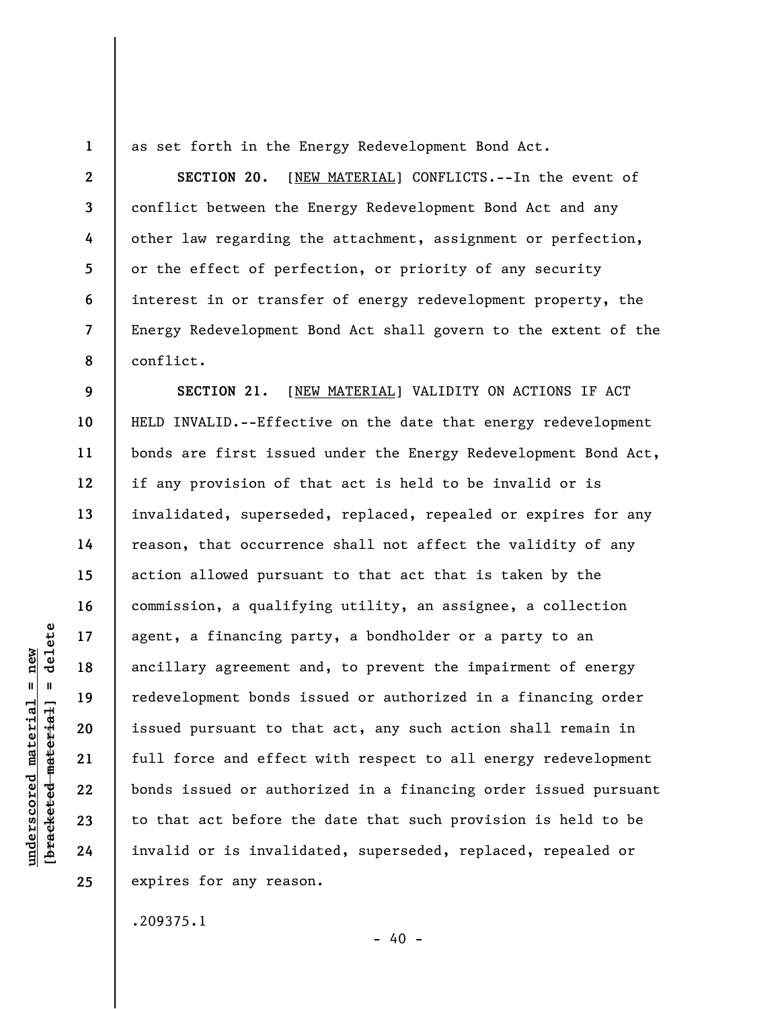**1 2** 

**3** 

**4** 

**5** 

**6** 

**7** 

**8** 

as set forth in the Energy Redevelopment Bond Act.

**SECTION 20.** [NEW MATERIAL] CONFLICTS.--In the event of conflict between the Energy Redevelopment Bond Act and any other law regarding the attachment, assignment or perfection, or the effect of perfection, or priority of any security interest in or transfer of energy redevelopment property, the Energy Redevelopment Bond Act shall govern to the extent of the conflict.

**9 10 11 12 13 14 15 16 17 18 19 20 21 22 23 24 25 SECTION 21.** [NEW MATERIAL] VALIDITY ON ACTIONS IF ACT HELD INVALID.--Effective on the date that energy redevelopment bonds are first issued under the Energy Redevelopment Bond Act, if any provision of that act is held to be invalid or is invalidated, superseded, replaced, repealed or expires for any reason, that occurrence shall not affect the validity of any action allowed pursuant to that act that is taken by the commission, a qualifying utility, an assignee, a collection agent, a financing party, a bondholder or a party to an ancillary agreement and, to prevent the impairment of energy redevelopment bonds issued or authorized in a financing order issued pursuant to that act, any such action shall remain in full force and effect with respect to all energy redevelopment bonds issued or authorized in a financing order issued pursuant to that act before the date that such provision is held to be invalid or is invalidated, superseded, replaced, repealed or expires for any reason.

.209375.1

 $- 40 -$